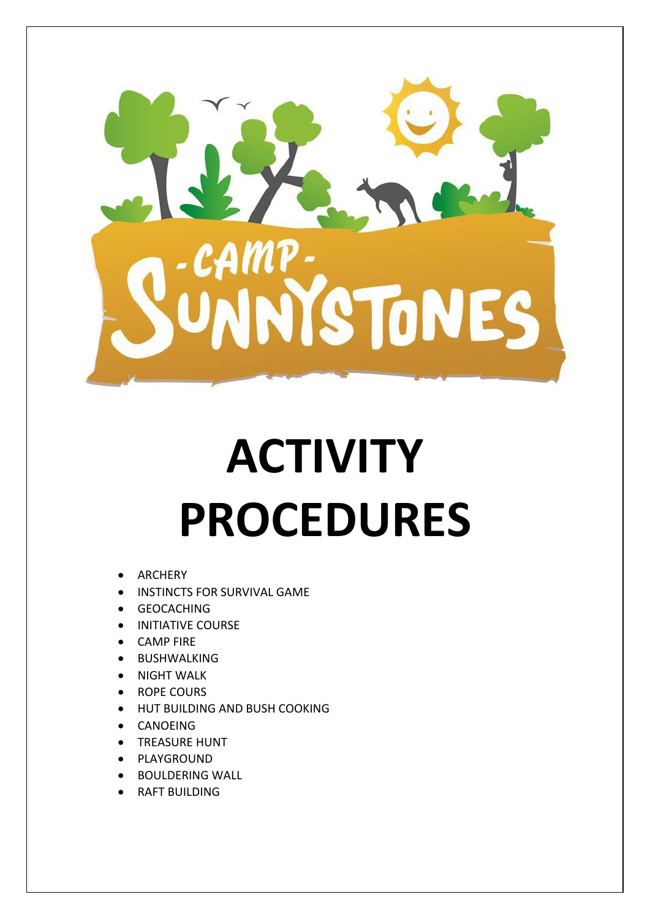

# **ACTIVITY PROCEDURES**

- ARCHERY
- INSTINCTS FOR SURVIVAL GAME
- GEOCACHING
- INITIATIVE COURSE
- CAMP FIRE
- BUSHWALKING
- NIGHT WALK
- ROPE COURS
- HUT BUILDING AND BUSH COOKING
- CANOEING
- TREASURE HUNT
- PLAYGROUND
- BOULDERING WALL
- RAFT BUILDING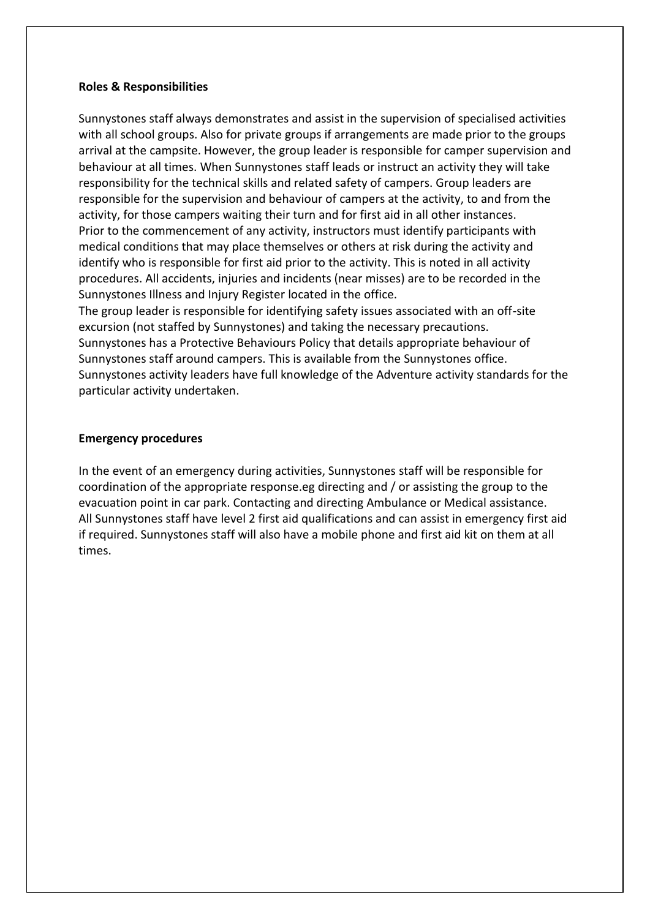## **Roles & Responsibilities**

Sunnystones staff always demonstrates and assist in the supervision of specialised activities with all school groups. Also for private groups if arrangements are made prior to the groups arrival at the campsite. However, the group leader is responsible for camper supervision and behaviour at all times. When Sunnystones staff leads or instruct an activity they will take responsibility for the technical skills and related safety of campers. Group leaders are responsible for the supervision and behaviour of campers at the activity, to and from the activity, for those campers waiting their turn and for first aid in all other instances. Prior to the commencement of any activity, instructors must identify participants with medical conditions that may place themselves or others at risk during the activity and identify who is responsible for first aid prior to the activity. This is noted in all activity procedures. All accidents, injuries and incidents (near misses) are to be recorded in the Sunnystones Illness and Injury Register located in the office.

The group leader is responsible for identifying safety issues associated with an off-site excursion (not staffed by Sunnystones) and taking the necessary precautions. Sunnystones has a Protective Behaviours Policy that details appropriate behaviour of Sunnystones staff around campers. This is available from the Sunnystones office. Sunnystones activity leaders have full knowledge of the Adventure activity standards for the particular activity undertaken.

## **Emergency procedures**

In the event of an emergency during activities, Sunnystones staff will be responsible for coordination of the appropriate response.eg directing and / or assisting the group to the evacuation point in car park. Contacting and directing Ambulance or Medical assistance. All Sunnystones staff have level 2 first aid qualifications and can assist in emergency first aid if required. Sunnystones staff will also have a mobile phone and first aid kit on them at all times.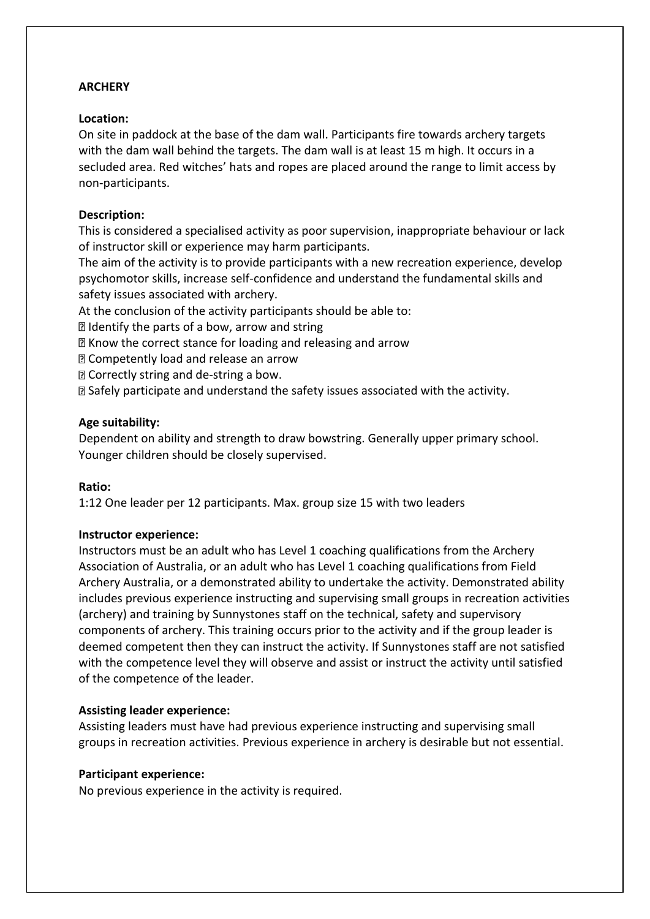# **ARCHERY**

# **Location:**

On site in paddock at the base of the dam wall. Participants fire towards archery targets with the dam wall behind the targets. The dam wall is at least 15 m high. It occurs in a secluded area. Red witches' hats and ropes are placed around the range to limit access by non-participants.

# **Description:**

This is considered a specialised activity as poor supervision, inappropriate behaviour or lack of instructor skill or experience may harm participants.

The aim of the activity is to provide participants with a new recreation experience, develop psychomotor skills, increase self-confidence and understand the fundamental skills and safety issues associated with archery.

At the conclusion of the activity participants should be able to:

Identify the parts of a bow, arrow and string

Know the correct stance for loading and releasing and arrow

Competently load and release an arrow

**D** Correctly string and de-string a bow.

Safely participate and understand the safety issues associated with the activity.

# **Age suitability:**

Dependent on ability and strength to draw bowstring. Generally upper primary school. Younger children should be closely supervised.

# **Ratio:**

1:12 One leader per 12 participants. Max. group size 15 with two leaders

# **Instructor experience:**

Instructors must be an adult who has Level 1 coaching qualifications from the Archery Association of Australia, or an adult who has Level 1 coaching qualifications from Field Archery Australia, or a demonstrated ability to undertake the activity. Demonstrated ability includes previous experience instructing and supervising small groups in recreation activities (archery) and training by Sunnystones staff on the technical, safety and supervisory components of archery. This training occurs prior to the activity and if the group leader is deemed competent then they can instruct the activity. If Sunnystones staff are not satisfied with the competence level they will observe and assist or instruct the activity until satisfied of the competence of the leader.

# **Assisting leader experience:**

Assisting leaders must have had previous experience instructing and supervising small groups in recreation activities. Previous experience in archery is desirable but not essential.

# **Participant experience:**

No previous experience in the activity is required.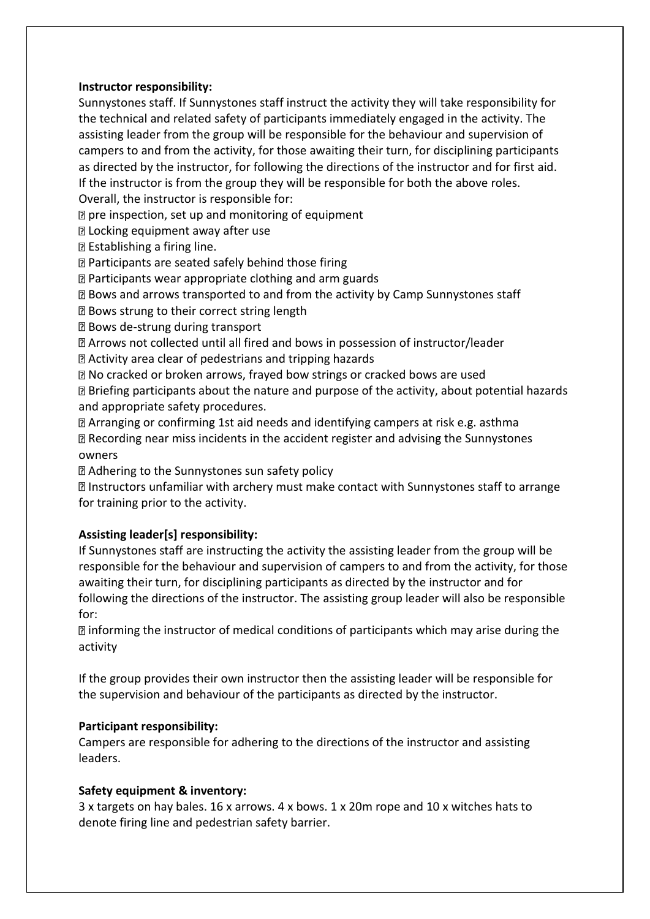# **Instructor responsibility:**

Sunnystones staff. If Sunnystones staff instruct the activity they will take responsibility for the technical and related safety of participants immediately engaged in the activity. The assisting leader from the group will be responsible for the behaviour and supervision of campers to and from the activity, for those awaiting their turn, for disciplining participants as directed by the instructor, for following the directions of the instructor and for first aid. If the instructor is from the group they will be responsible for both the above roles.

Overall, the instructor is responsible for:

 $\mathbb D$  pre inspection, set up and monitoring of equipment

**D** Locking equipment away after use

Establishing a firing line.

**Participants are seated safely behind those firing** 

Participants wear appropriate clothing and arm guards

Bows and arrows transported to and from the activity by Camp Sunnystones staff

**Bows strung to their correct string length** 

Bows de-strung during transport

Arrows not collected until all fired and bows in possession of instructor/leader

Activity area clear of pedestrians and tripping hazards

No cracked or broken arrows, frayed bow strings or cracked bows are used Briefing participants about the nature and purpose of the activity, about potential hazards and appropriate safety procedures.

Arranging or confirming 1st aid needs and identifying campers at risk e.g. asthma Recording near miss incidents in the accident register and advising the Sunnystones owners

Adhering to the Sunnystones sun safety policy

Instructors unfamiliar with archery must make contact with Sunnystones staff to arrange for training prior to the activity.

# **Assisting leader[s] responsibility:**

If Sunnystones staff are instructing the activity the assisting leader from the group will be responsible for the behaviour and supervision of campers to and from the activity, for those awaiting their turn, for disciplining participants as directed by the instructor and for following the directions of the instructor. The assisting group leader will also be responsible for:

informing the instructor of medical conditions of participants which may arise during the activity

If the group provides their own instructor then the assisting leader will be responsible for the supervision and behaviour of the participants as directed by the instructor.

# **Participant responsibility:**

Campers are responsible for adhering to the directions of the instructor and assisting leaders.

# **Safety equipment & inventory:**

3 x targets on hay bales. 16 x arrows. 4 x bows. 1 x 20m rope and 10 x witches hats to denote firing line and pedestrian safety barrier.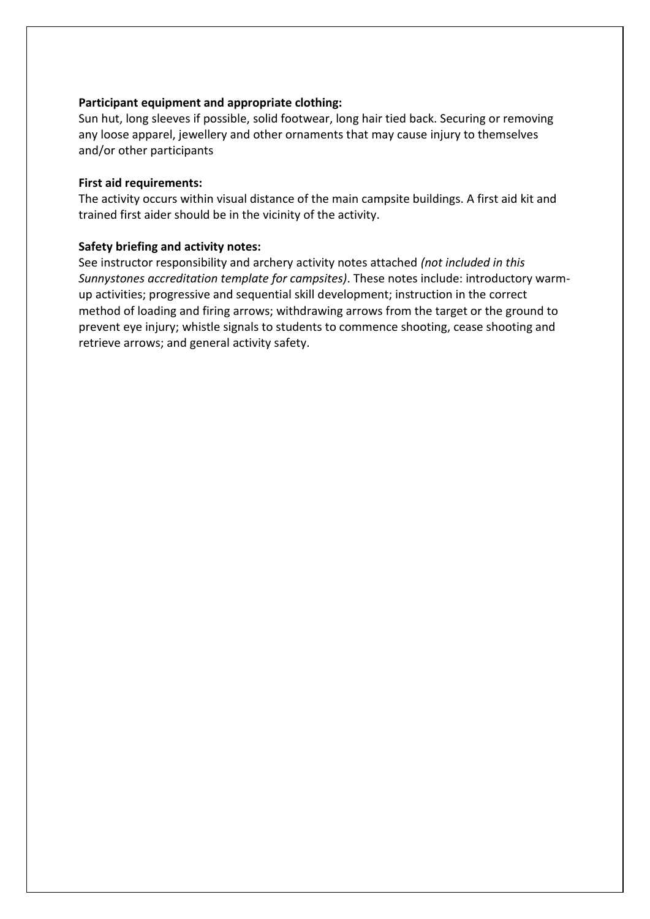# **Participant equipment and appropriate clothing:**

Sun hut, long sleeves if possible, solid footwear, long hair tied back. Securing or removing any loose apparel, jewellery and other ornaments that may cause injury to themselves and/or other participants

## **First aid requirements:**

The activity occurs within visual distance of the main campsite buildings. A first aid kit and trained first aider should be in the vicinity of the activity.

# **Safety briefing and activity notes:**

See instructor responsibility and archery activity notes attached *(not included in this Sunnystones accreditation template for campsites)*. These notes include: introductory warmup activities; progressive and sequential skill development; instruction in the correct method of loading and firing arrows; withdrawing arrows from the target or the ground to prevent eye injury; whistle signals to students to commence shooting, cease shooting and retrieve arrows; and general activity safety.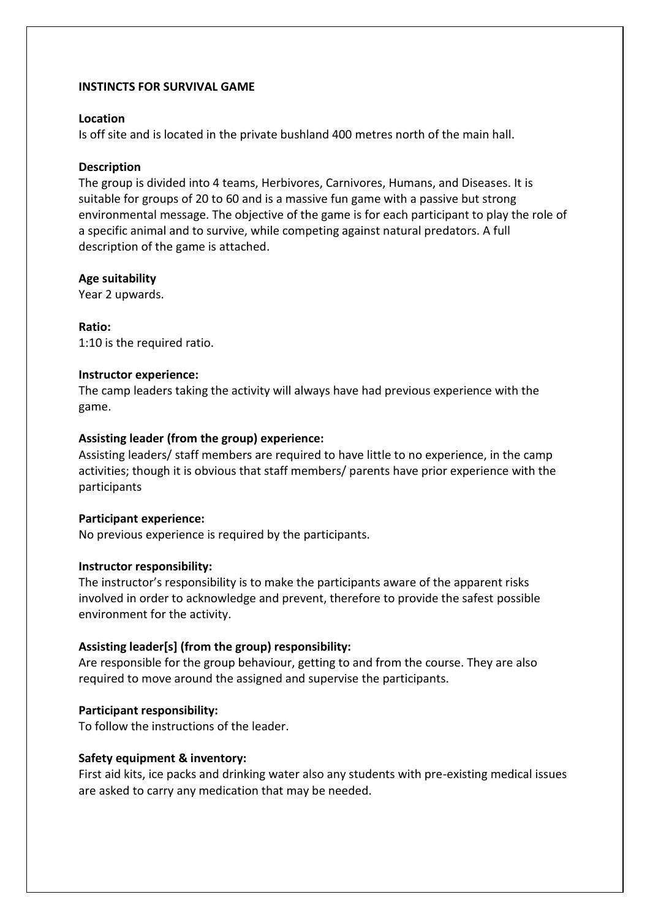## **INSTINCTS FOR SURVIVAL GAME**

## **Location**

Is off site and is located in the private bushland 400 metres north of the main hall.

## **Description**

The group is divided into 4 teams, Herbivores, Carnivores, Humans, and Diseases. It is suitable for groups of 20 to 60 and is a massive fun game with a passive but strong environmental message. The objective of the game is for each participant to play the role of a specific animal and to survive, while competing against natural predators. A full description of the game is attached.

# **Age suitability**

Year 2 upwards.

# **Ratio:**

1:10 is the required ratio.

## **Instructor experience:**

The camp leaders taking the activity will always have had previous experience with the game.

# **Assisting leader (from the group) experience:**

Assisting leaders/ staff members are required to have little to no experience, in the camp activities; though it is obvious that staff members/ parents have prior experience with the participants

## **Participant experience:**

No previous experience is required by the participants.

## **Instructor responsibility:**

The instructor's responsibility is to make the participants aware of the apparent risks involved in order to acknowledge and prevent, therefore to provide the safest possible environment for the activity.

# **Assisting leader[s] (from the group) responsibility:**

Are responsible for the group behaviour, getting to and from the course. They are also required to move around the assigned and supervise the participants.

# **Participant responsibility:**

To follow the instructions of the leader.

## **Safety equipment & inventory:**

First aid kits, ice packs and drinking water also any students with pre-existing medical issues are asked to carry any medication that may be needed.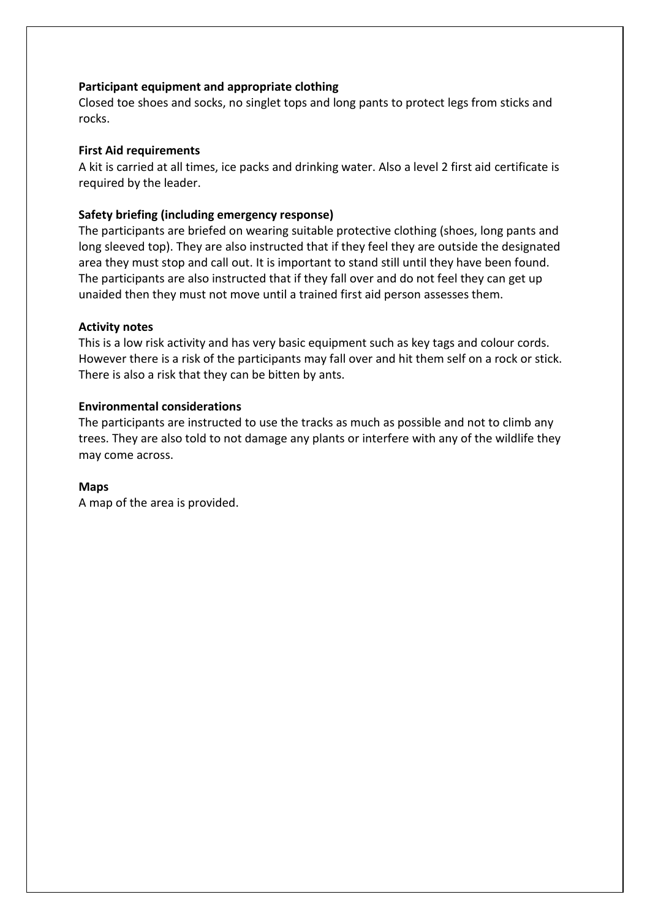# **Participant equipment and appropriate clothing**

Closed toe shoes and socks, no singlet tops and long pants to protect legs from sticks and rocks.

## **First Aid requirements**

A kit is carried at all times, ice packs and drinking water. Also a level 2 first aid certificate is required by the leader.

## **Safety briefing (including emergency response)**

The participants are briefed on wearing suitable protective clothing (shoes, long pants and long sleeved top). They are also instructed that if they feel they are outside the designated area they must stop and call out. It is important to stand still until they have been found. The participants are also instructed that if they fall over and do not feel they can get up unaided then they must not move until a trained first aid person assesses them.

#### **Activity notes**

This is a low risk activity and has very basic equipment such as key tags and colour cords. However there is a risk of the participants may fall over and hit them self on a rock or stick. There is also a risk that they can be bitten by ants.

## **Environmental considerations**

The participants are instructed to use the tracks as much as possible and not to climb any trees. They are also told to not damage any plants or interfere with any of the wildlife they may come across.

#### **Maps**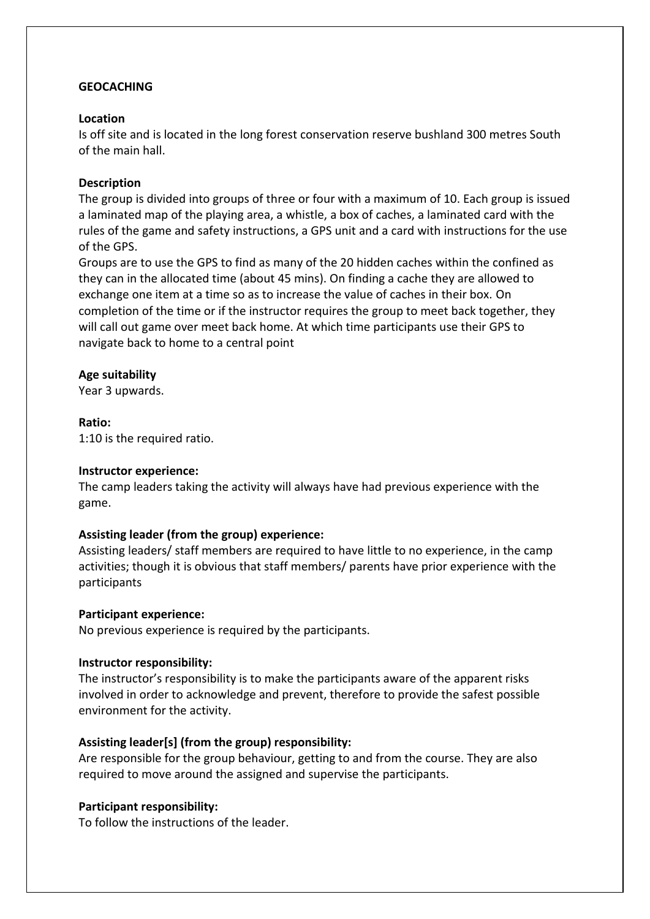# **GEOCACHING**

## **Location**

Is off site and is located in the long forest conservation reserve bushland 300 metres South of the main hall.

## **Description**

The group is divided into groups of three or four with a maximum of 10. Each group is issued a laminated map of the playing area, a whistle, a box of caches, a laminated card with the rules of the game and safety instructions, a GPS unit and a card with instructions for the use of the GPS.

Groups are to use the GPS to find as many of the 20 hidden caches within the confined as they can in the allocated time (about 45 mins). On finding a cache they are allowed to exchange one item at a time so as to increase the value of caches in their box. On completion of the time or if the instructor requires the group to meet back together, they will call out game over meet back home. At which time participants use their GPS to navigate back to home to a central point

## **Age suitability**

Year 3 upwards.

**Ratio:** 

1:10 is the required ratio.

## **Instructor experience:**

The camp leaders taking the activity will always have had previous experience with the game.

# **Assisting leader (from the group) experience:**

Assisting leaders/ staff members are required to have little to no experience, in the camp activities; though it is obvious that staff members/ parents have prior experience with the participants

## **Participant experience:**

No previous experience is required by the participants.

## **Instructor responsibility:**

The instructor's responsibility is to make the participants aware of the apparent risks involved in order to acknowledge and prevent, therefore to provide the safest possible environment for the activity.

# **Assisting leader[s] (from the group) responsibility:**

Are responsible for the group behaviour, getting to and from the course. They are also required to move around the assigned and supervise the participants.

## **Participant responsibility:**

To follow the instructions of the leader.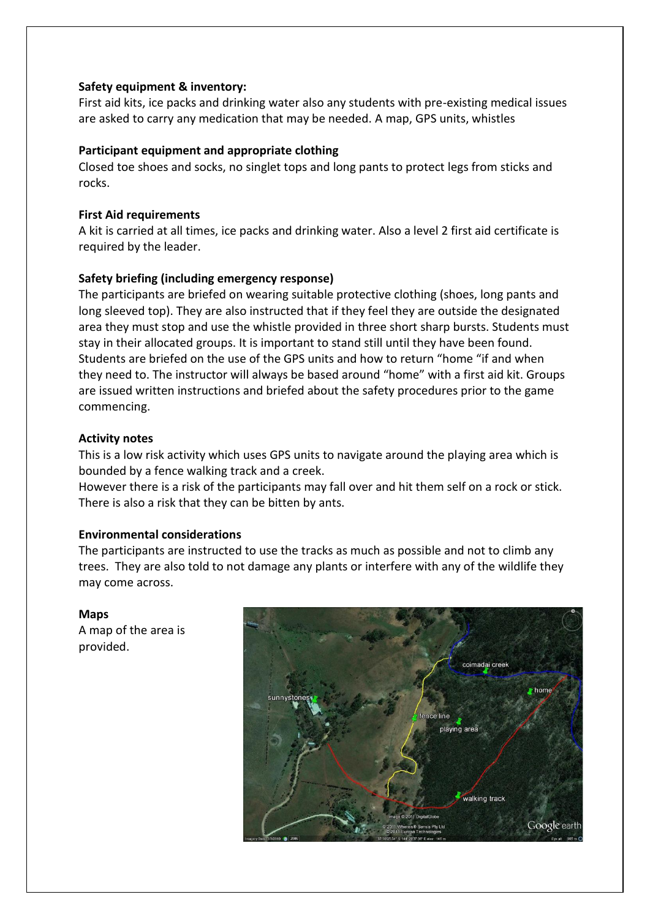# **Safety equipment & inventory:**

First aid kits, ice packs and drinking water also any students with pre-existing medical issues are asked to carry any medication that may be needed. A map, GPS units, whistles

# **Participant equipment and appropriate clothing**

Closed toe shoes and socks, no singlet tops and long pants to protect legs from sticks and rocks.

# **First Aid requirements**

A kit is carried at all times, ice packs and drinking water. Also a level 2 first aid certificate is required by the leader.

# **Safety briefing (including emergency response)**

The participants are briefed on wearing suitable protective clothing (shoes, long pants and long sleeved top). They are also instructed that if they feel they are outside the designated area they must stop and use the whistle provided in three short sharp bursts. Students must stay in their allocated groups. It is important to stand still until they have been found. Students are briefed on the use of the GPS units and how to return "home "if and when they need to. The instructor will always be based around "home" with a first aid kit. Groups are issued written instructions and briefed about the safety procedures prior to the game commencing.

# **Activity notes**

This is a low risk activity which uses GPS units to navigate around the playing area which is bounded by a fence walking track and a creek.

However there is a risk of the participants may fall over and hit them self on a rock or stick. There is also a risk that they can be bitten by ants.

# **Environmental considerations**

The participants are instructed to use the tracks as much as possible and not to climb any trees. They are also told to not damage any plants or interfere with any of the wildlife they may come across.

# **Maps**

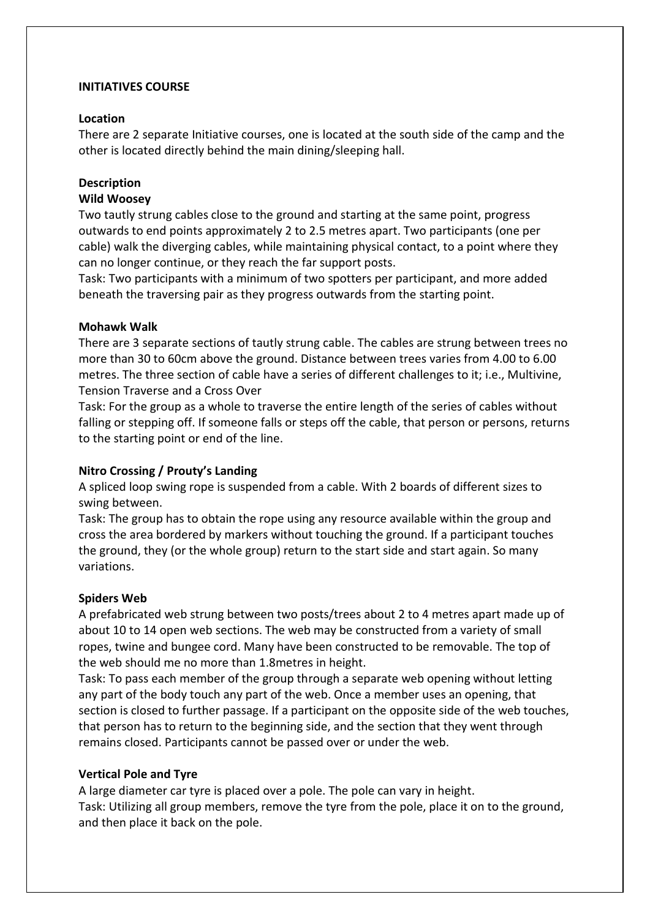# **INITIATIVES COURSE**

## **Location**

There are 2 separate Initiative courses, one is located at the south side of the camp and the other is located directly behind the main dining/sleeping hall.

# **Description**

# **Wild Woosey**

Two tautly strung cables close to the ground and starting at the same point, progress outwards to end points approximately 2 to 2.5 metres apart. Two participants (one per cable) walk the diverging cables, while maintaining physical contact, to a point where they can no longer continue, or they reach the far support posts.

Task: Two participants with a minimum of two spotters per participant, and more added beneath the traversing pair as they progress outwards from the starting point.

## **Mohawk Walk**

There are 3 separate sections of tautly strung cable. The cables are strung between trees no more than 30 to 60cm above the ground. Distance between trees varies from 4.00 to 6.00 metres. The three section of cable have a series of different challenges to it; i.e., Multivine, Tension Traverse and a Cross Over

Task: For the group as a whole to traverse the entire length of the series of cables without falling or stepping off. If someone falls or steps off the cable, that person or persons, returns to the starting point or end of the line.

# **Nitro Crossing / Prouty's Landing**

A spliced loop swing rope is suspended from a cable. With 2 boards of different sizes to swing between.

Task: The group has to obtain the rope using any resource available within the group and cross the area bordered by markers without touching the ground. If a participant touches the ground, they (or the whole group) return to the start side and start again. So many variations.

## **Spiders Web**

A prefabricated web strung between two posts/trees about 2 to 4 metres apart made up of about 10 to 14 open web sections. The web may be constructed from a variety of small ropes, twine and bungee cord. Many have been constructed to be removable. The top of the web should me no more than 1.8metres in height.

Task: To pass each member of the group through a separate web opening without letting any part of the body touch any part of the web. Once a member uses an opening, that section is closed to further passage. If a participant on the opposite side of the web touches, that person has to return to the beginning side, and the section that they went through remains closed. Participants cannot be passed over or under the web.

# **Vertical Pole and Tyre**

A large diameter car tyre is placed over a pole. The pole can vary in height. Task: Utilizing all group members, remove the tyre from the pole, place it on to the ground, and then place it back on the pole.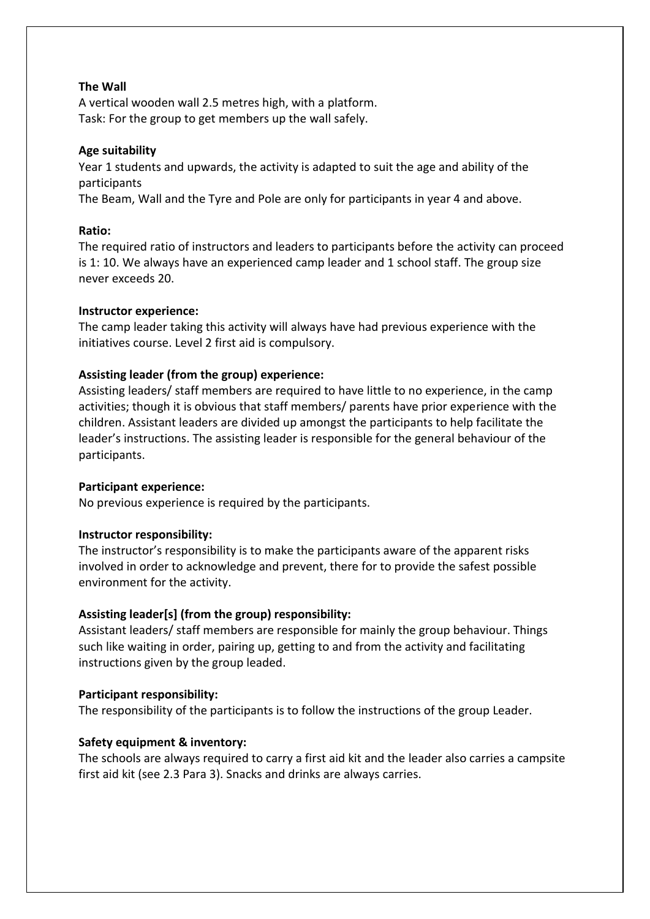# **The Wall**

A vertical wooden wall 2.5 metres high, with a platform. Task: For the group to get members up the wall safely.

# **Age suitability**

Year 1 students and upwards, the activity is adapted to suit the age and ability of the participants

The Beam, Wall and the Tyre and Pole are only for participants in year 4 and above.

# **Ratio:**

The required ratio of instructors and leaders to participants before the activity can proceed is 1: 10. We always have an experienced camp leader and 1 school staff. The group size never exceeds 20.

# **Instructor experience:**

The camp leader taking this activity will always have had previous experience with the initiatives course. Level 2 first aid is compulsory.

# **Assisting leader (from the group) experience:**

Assisting leaders/ staff members are required to have little to no experience, in the camp activities; though it is obvious that staff members/ parents have prior experience with the children. Assistant leaders are divided up amongst the participants to help facilitate the leader's instructions. The assisting leader is responsible for the general behaviour of the participants.

# **Participant experience:**

No previous experience is required by the participants.

# **Instructor responsibility:**

The instructor's responsibility is to make the participants aware of the apparent risks involved in order to acknowledge and prevent, there for to provide the safest possible environment for the activity.

# **Assisting leader[s] (from the group) responsibility:**

Assistant leaders/ staff members are responsible for mainly the group behaviour. Things such like waiting in order, pairing up, getting to and from the activity and facilitating instructions given by the group leaded.

# **Participant responsibility:**

The responsibility of the participants is to follow the instructions of the group Leader.

# **Safety equipment & inventory:**

The schools are always required to carry a first aid kit and the leader also carries a campsite first aid kit (see 2.3 Para 3). Snacks and drinks are always carries.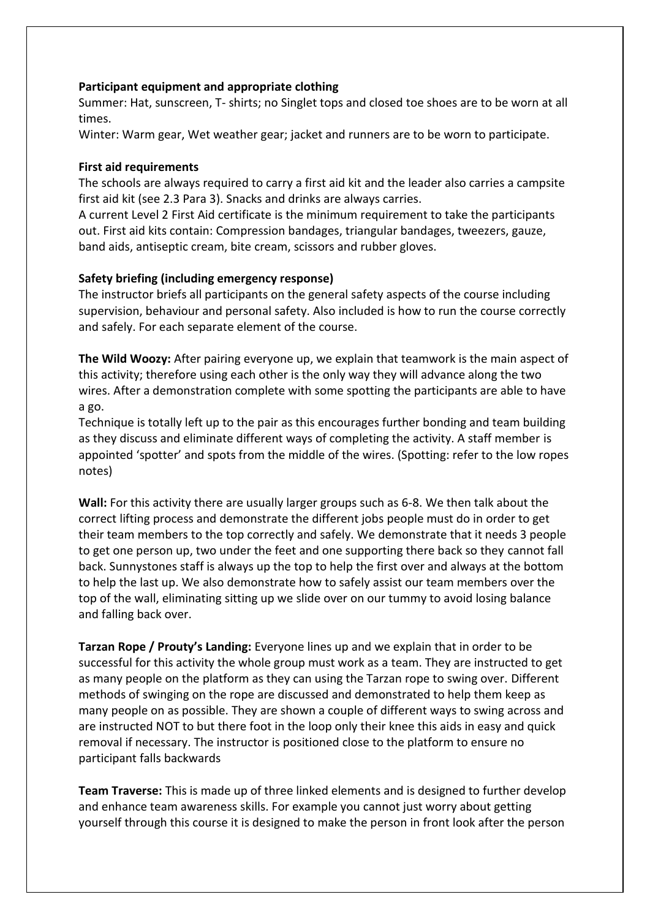# **Participant equipment and appropriate clothing**

Summer: Hat, sunscreen, T- shirts; no Singlet tops and closed toe shoes are to be worn at all times.

Winter: Warm gear, Wet weather gear; jacket and runners are to be worn to participate.

# **First aid requirements**

The schools are always required to carry a first aid kit and the leader also carries a campsite first aid kit (see 2.3 Para 3). Snacks and drinks are always carries.

A current Level 2 First Aid certificate is the minimum requirement to take the participants out. First aid kits contain: Compression bandages, triangular bandages, tweezers, gauze, band aids, antiseptic cream, bite cream, scissors and rubber gloves.

# **Safety briefing (including emergency response)**

The instructor briefs all participants on the general safety aspects of the course including supervision, behaviour and personal safety. Also included is how to run the course correctly and safely. For each separate element of the course.

**The Wild Woozy:** After pairing everyone up, we explain that teamwork is the main aspect of this activity; therefore using each other is the only way they will advance along the two wires. After a demonstration complete with some spotting the participants are able to have a go.

Technique is totally left up to the pair as this encourages further bonding and team building as they discuss and eliminate different ways of completing the activity. A staff member is appointed 'spotter' and spots from the middle of the wires. (Spotting: refer to the low ropes notes)

**Wall:** For this activity there are usually larger groups such as 6-8. We then talk about the correct lifting process and demonstrate the different jobs people must do in order to get their team members to the top correctly and safely. We demonstrate that it needs 3 people to get one person up, two under the feet and one supporting there back so they cannot fall back. Sunnystones staff is always up the top to help the first over and always at the bottom to help the last up. We also demonstrate how to safely assist our team members over the top of the wall, eliminating sitting up we slide over on our tummy to avoid losing balance and falling back over.

**Tarzan Rope / Prouty's Landing:** Everyone lines up and we explain that in order to be successful for this activity the whole group must work as a team. They are instructed to get as many people on the platform as they can using the Tarzan rope to swing over. Different methods of swinging on the rope are discussed and demonstrated to help them keep as many people on as possible. They are shown a couple of different ways to swing across and are instructed NOT to but there foot in the loop only their knee this aids in easy and quick removal if necessary. The instructor is positioned close to the platform to ensure no participant falls backwards

**Team Traverse:** This is made up of three linked elements and is designed to further develop and enhance team awareness skills. For example you cannot just worry about getting yourself through this course it is designed to make the person in front look after the person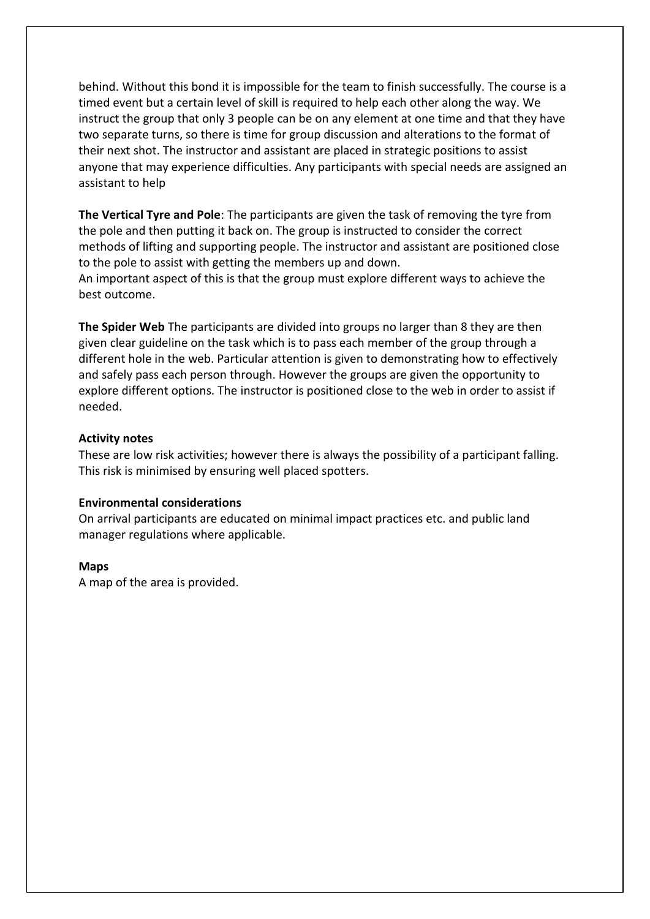behind. Without this bond it is impossible for the team to finish successfully. The course is a timed event but a certain level of skill is required to help each other along the way. We instruct the group that only 3 people can be on any element at one time and that they have two separate turns, so there is time for group discussion and alterations to the format of their next shot. The instructor and assistant are placed in strategic positions to assist anyone that may experience difficulties. Any participants with special needs are assigned an assistant to help

**The Vertical Tyre and Pole**: The participants are given the task of removing the tyre from the pole and then putting it back on. The group is instructed to consider the correct methods of lifting and supporting people. The instructor and assistant are positioned close to the pole to assist with getting the members up and down.

An important aspect of this is that the group must explore different ways to achieve the best outcome.

**The Spider Web** The participants are divided into groups no larger than 8 they are then given clear guideline on the task which is to pass each member of the group through a different hole in the web. Particular attention is given to demonstrating how to effectively and safely pass each person through. However the groups are given the opportunity to explore different options. The instructor is positioned close to the web in order to assist if needed.

## **Activity notes**

These are low risk activities; however there is always the possibility of a participant falling. This risk is minimised by ensuring well placed spotters.

## **Environmental considerations**

On arrival participants are educated on minimal impact practices etc. and public land manager regulations where applicable.

## **Maps**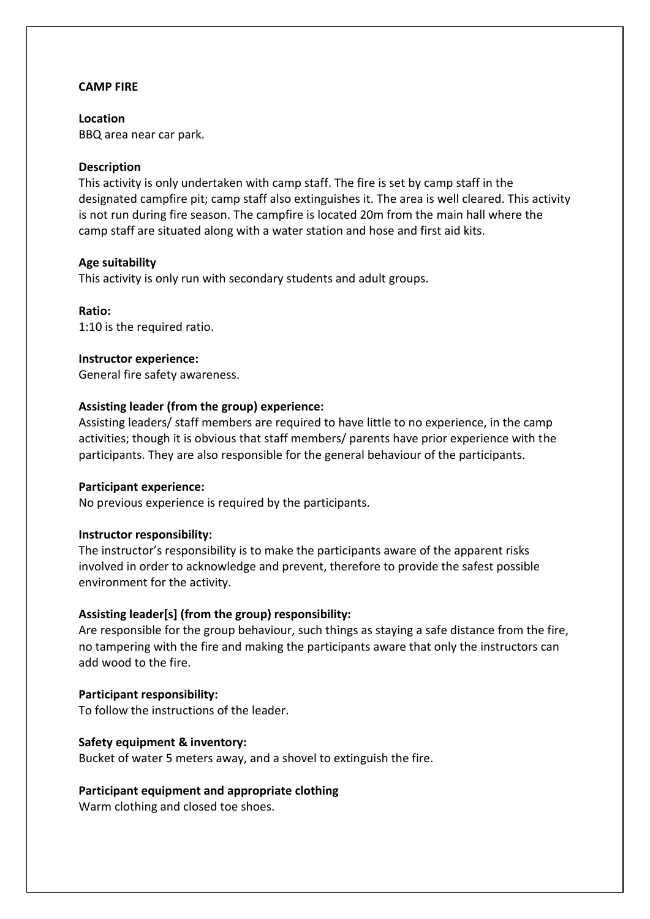## **CAMP FIRE**

**Location**  BBQ area near car park.

## **Description**

This activity is only undertaken with camp staff. The fire is set by camp staff in the designated campfire pit; camp staff also extinguishes it. The area is well cleared. This activity is not run during fire season. The campfire is located 20m from the main hall where the camp staff are situated along with a water station and hose and first aid kits.

## **Age suitability**

This activity is only run with secondary students and adult groups.

**Ratio:**  1:10 is the required ratio.

# **Instructor experience:**

General fire safety awareness.

## **Assisting leader (from the group) experience:**

Assisting leaders/ staff members are required to have little to no experience, in the camp activities; though it is obvious that staff members/ parents have prior experience with the participants. They are also responsible for the general behaviour of the participants.

## **Participant experience:**

No previous experience is required by the participants.

# **Instructor responsibility:**

The instructor's responsibility is to make the participants aware of the apparent risks involved in order to acknowledge and prevent, therefore to provide the safest possible environment for the activity.

# **Assisting leader[s] (from the group) responsibility:**

Are responsible for the group behaviour, such things as staying a safe distance from the fire, no tampering with the fire and making the participants aware that only the instructors can add wood to the fire.

## **Participant responsibility:**

To follow the instructions of the leader.

# **Safety equipment & inventory:**

Bucket of water 5 meters away, and a shovel to extinguish the fire.

# **Participant equipment and appropriate clothing**

Warm clothing and closed toe shoes.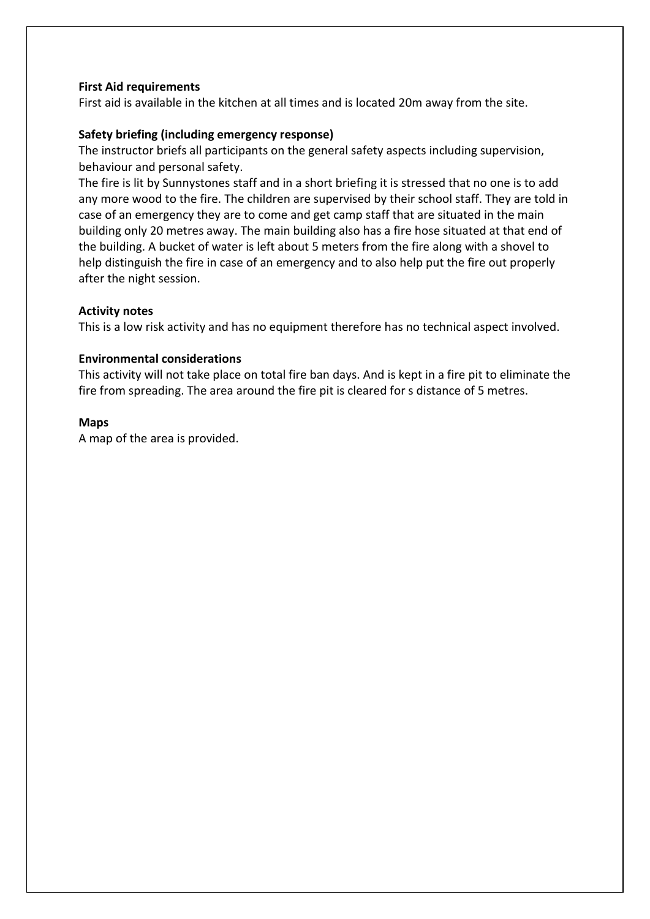# **First Aid requirements**

First aid is available in the kitchen at all times and is located 20m away from the site.

# **Safety briefing (including emergency response)**

The instructor briefs all participants on the general safety aspects including supervision, behaviour and personal safety.

The fire is lit by Sunnystones staff and in a short briefing it is stressed that no one is to add any more wood to the fire. The children are supervised by their school staff. They are told in case of an emergency they are to come and get camp staff that are situated in the main building only 20 metres away. The main building also has a fire hose situated at that end of the building. A bucket of water is left about 5 meters from the fire along with a shovel to help distinguish the fire in case of an emergency and to also help put the fire out properly after the night session.

# **Activity notes**

This is a low risk activity and has no equipment therefore has no technical aspect involved.

# **Environmental considerations**

This activity will not take place on total fire ban days. And is kept in a fire pit to eliminate the fire from spreading. The area around the fire pit is cleared for s distance of 5 metres.

# **Maps**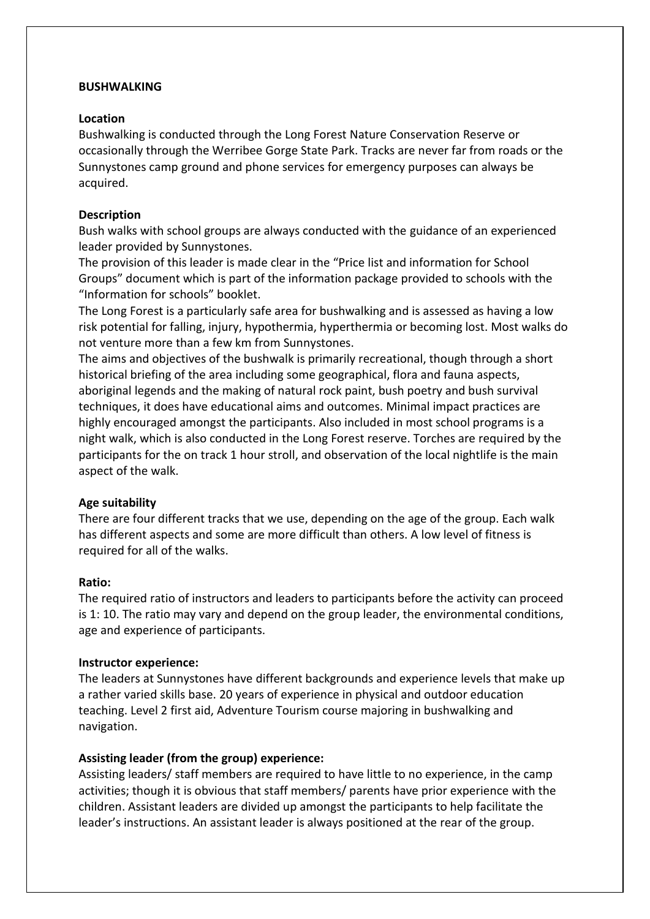## **BUSHWALKING**

## **Location**

Bushwalking is conducted through the Long Forest Nature Conservation Reserve or occasionally through the Werribee Gorge State Park. Tracks are never far from roads or the Sunnystones camp ground and phone services for emergency purposes can always be acquired.

## **Description**

Bush walks with school groups are always conducted with the guidance of an experienced leader provided by Sunnystones.

The provision of this leader is made clear in the "Price list and information for School Groups" document which is part of the information package provided to schools with the "Information for schools" booklet.

The Long Forest is a particularly safe area for bushwalking and is assessed as having a low risk potential for falling, injury, hypothermia, hyperthermia or becoming lost. Most walks do not venture more than a few km from Sunnystones.

The aims and objectives of the bushwalk is primarily recreational, though through a short historical briefing of the area including some geographical, flora and fauna aspects, aboriginal legends and the making of natural rock paint, bush poetry and bush survival techniques, it does have educational aims and outcomes. Minimal impact practices are highly encouraged amongst the participants. Also included in most school programs is a night walk, which is also conducted in the Long Forest reserve. Torches are required by the participants for the on track 1 hour stroll, and observation of the local nightlife is the main aspect of the walk.

# **Age suitability**

There are four different tracks that we use, depending on the age of the group. Each walk has different aspects and some are more difficult than others. A low level of fitness is required for all of the walks.

# **Ratio:**

The required ratio of instructors and leaders to participants before the activity can proceed is 1: 10. The ratio may vary and depend on the group leader, the environmental conditions, age and experience of participants.

## **Instructor experience:**

The leaders at Sunnystones have different backgrounds and experience levels that make up a rather varied skills base. 20 years of experience in physical and outdoor education teaching. Level 2 first aid, Adventure Tourism course majoring in bushwalking and navigation.

# **Assisting leader (from the group) experience:**

Assisting leaders/ staff members are required to have little to no experience, in the camp activities; though it is obvious that staff members/ parents have prior experience with the children. Assistant leaders are divided up amongst the participants to help facilitate the leader's instructions. An assistant leader is always positioned at the rear of the group.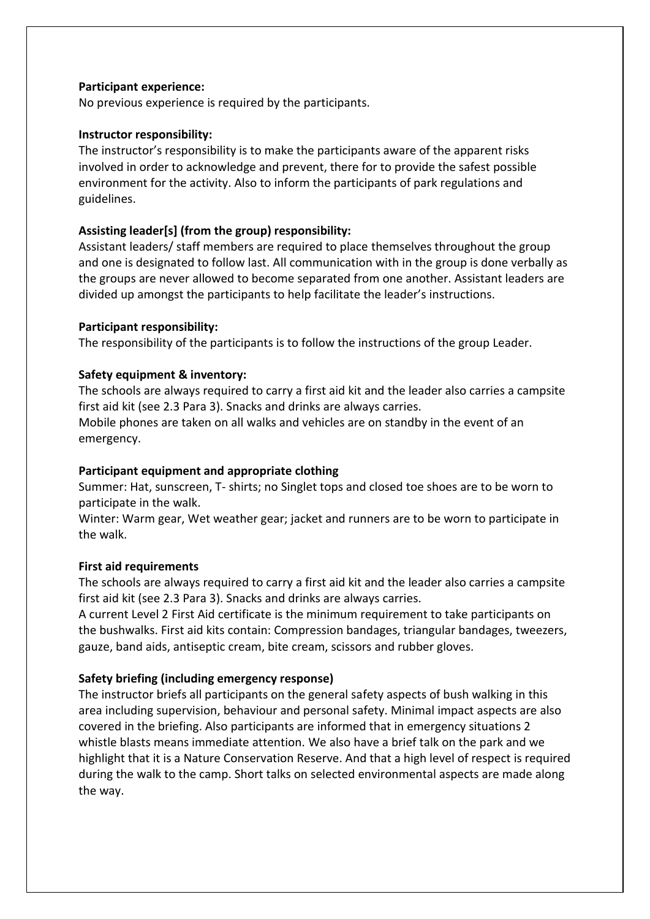# **Participant experience:**

No previous experience is required by the participants.

## **Instructor responsibility:**

The instructor's responsibility is to make the participants aware of the apparent risks involved in order to acknowledge and prevent, there for to provide the safest possible environment for the activity. Also to inform the participants of park regulations and guidelines.

# **Assisting leader[s] (from the group) responsibility:**

Assistant leaders/ staff members are required to place themselves throughout the group and one is designated to follow last. All communication with in the group is done verbally as the groups are never allowed to become separated from one another. Assistant leaders are divided up amongst the participants to help facilitate the leader's instructions.

## **Participant responsibility:**

The responsibility of the participants is to follow the instructions of the group Leader.

# **Safety equipment & inventory:**

The schools are always required to carry a first aid kit and the leader also carries a campsite first aid kit (see 2.3 Para 3). Snacks and drinks are always carries.

Mobile phones are taken on all walks and vehicles are on standby in the event of an emergency.

## **Participant equipment and appropriate clothing**

Summer: Hat, sunscreen, T- shirts; no Singlet tops and closed toe shoes are to be worn to participate in the walk.

Winter: Warm gear, Wet weather gear; jacket and runners are to be worn to participate in the walk.

## **First aid requirements**

The schools are always required to carry a first aid kit and the leader also carries a campsite first aid kit (see 2.3 Para 3). Snacks and drinks are always carries.

A current Level 2 First Aid certificate is the minimum requirement to take participants on the bushwalks. First aid kits contain: Compression bandages, triangular bandages, tweezers, gauze, band aids, antiseptic cream, bite cream, scissors and rubber gloves.

# **Safety briefing (including emergency response)**

The instructor briefs all participants on the general safety aspects of bush walking in this area including supervision, behaviour and personal safety. Minimal impact aspects are also covered in the briefing. Also participants are informed that in emergency situations 2 whistle blasts means immediate attention. We also have a brief talk on the park and we highlight that it is a Nature Conservation Reserve. And that a high level of respect is required during the walk to the camp. Short talks on selected environmental aspects are made along the way.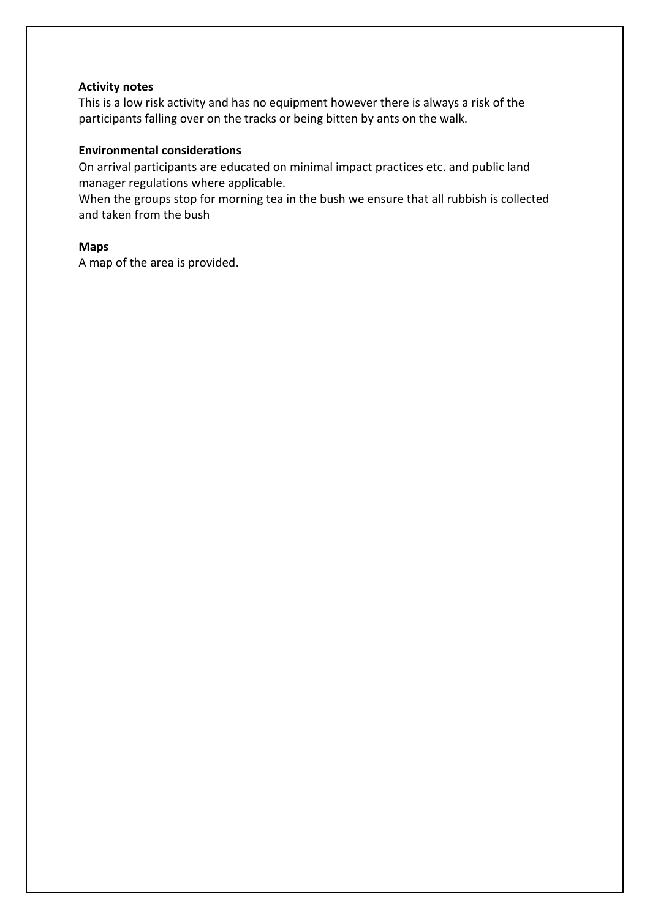# **Activity notes**

This is a low risk activity and has no equipment however there is always a risk of the participants falling over on the tracks or being bitten by ants on the walk.

## **Environmental considerations**

On arrival participants are educated on minimal impact practices etc. and public land manager regulations where applicable.

When the groups stop for morning tea in the bush we ensure that all rubbish is collected and taken from the bush

## **Maps**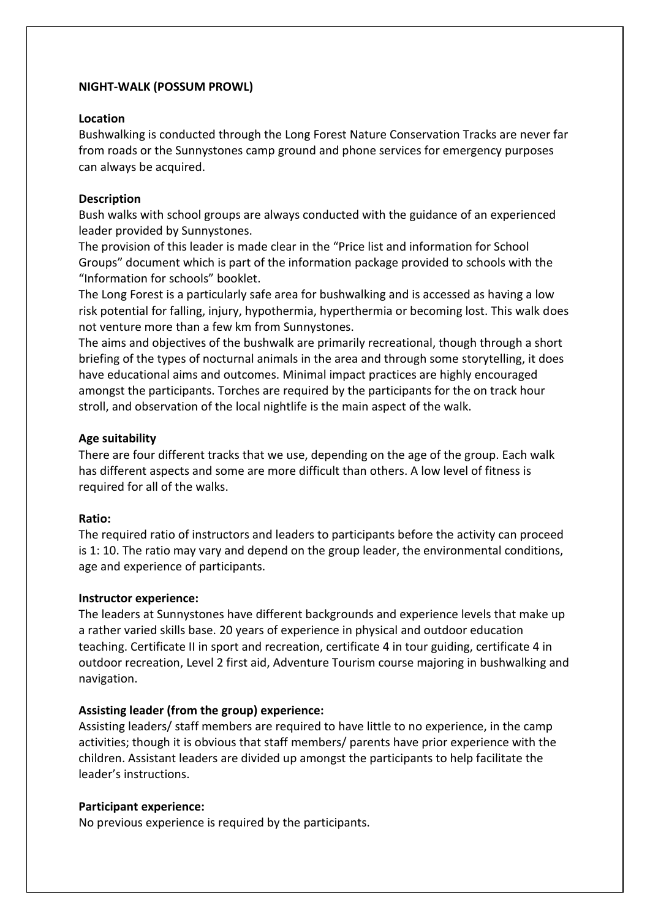## **NIGHT-WALK (POSSUM PROWL)**

## **Location**

Bushwalking is conducted through the Long Forest Nature Conservation Tracks are never far from roads or the Sunnystones camp ground and phone services for emergency purposes can always be acquired.

# **Description**

Bush walks with school groups are always conducted with the guidance of an experienced leader provided by Sunnystones.

The provision of this leader is made clear in the "Price list and information for School Groups" document which is part of the information package provided to schools with the "Information for schools" booklet.

The Long Forest is a particularly safe area for bushwalking and is accessed as having a low risk potential for falling, injury, hypothermia, hyperthermia or becoming lost. This walk does not venture more than a few km from Sunnystones.

The aims and objectives of the bushwalk are primarily recreational, though through a short briefing of the types of nocturnal animals in the area and through some storytelling, it does have educational aims and outcomes. Minimal impact practices are highly encouraged amongst the participants. Torches are required by the participants for the on track hour stroll, and observation of the local nightlife is the main aspect of the walk.

# **Age suitability**

There are four different tracks that we use, depending on the age of the group. Each walk has different aspects and some are more difficult than others. A low level of fitness is required for all of the walks.

# **Ratio:**

The required ratio of instructors and leaders to participants before the activity can proceed is 1: 10. The ratio may vary and depend on the group leader, the environmental conditions, age and experience of participants.

# **Instructor experience:**

The leaders at Sunnystones have different backgrounds and experience levels that make up a rather varied skills base. 20 years of experience in physical and outdoor education teaching. Certificate II in sport and recreation, certificate 4 in tour guiding, certificate 4 in outdoor recreation, Level 2 first aid, Adventure Tourism course majoring in bushwalking and navigation.

# **Assisting leader (from the group) experience:**

Assisting leaders/ staff members are required to have little to no experience, in the camp activities; though it is obvious that staff members/ parents have prior experience with the children. Assistant leaders are divided up amongst the participants to help facilitate the leader's instructions.

# **Participant experience:**

No previous experience is required by the participants.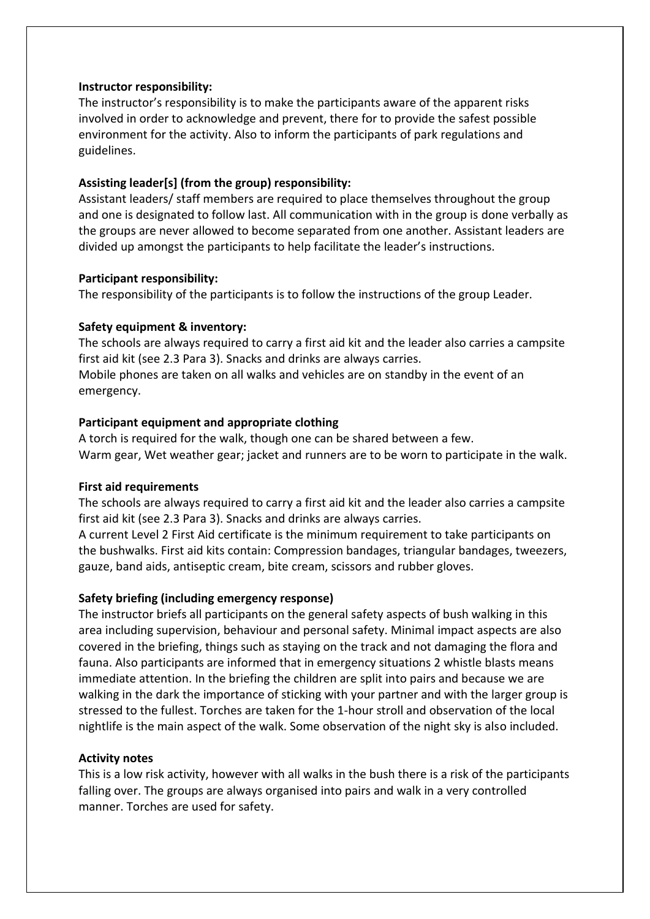## **Instructor responsibility:**

The instructor's responsibility is to make the participants aware of the apparent risks involved in order to acknowledge and prevent, there for to provide the safest possible environment for the activity. Also to inform the participants of park regulations and guidelines.

# **Assisting leader[s] (from the group) responsibility:**

Assistant leaders/ staff members are required to place themselves throughout the group and one is designated to follow last. All communication with in the group is done verbally as the groups are never allowed to become separated from one another. Assistant leaders are divided up amongst the participants to help facilitate the leader's instructions.

# **Participant responsibility:**

The responsibility of the participants is to follow the instructions of the group Leader.

# **Safety equipment & inventory:**

The schools are always required to carry a first aid kit and the leader also carries a campsite first aid kit (see 2.3 Para 3). Snacks and drinks are always carries. Mobile phones are taken on all walks and vehicles are on standby in the event of an emergency.

# **Participant equipment and appropriate clothing**

A torch is required for the walk, though one can be shared between a few. Warm gear, Wet weather gear; jacket and runners are to be worn to participate in the walk.

## **First aid requirements**

The schools are always required to carry a first aid kit and the leader also carries a campsite first aid kit (see 2.3 Para 3). Snacks and drinks are always carries.

A current Level 2 First Aid certificate is the minimum requirement to take participants on the bushwalks. First aid kits contain: Compression bandages, triangular bandages, tweezers, gauze, band aids, antiseptic cream, bite cream, scissors and rubber gloves.

# **Safety briefing (including emergency response)**

The instructor briefs all participants on the general safety aspects of bush walking in this area including supervision, behaviour and personal safety. Minimal impact aspects are also covered in the briefing, things such as staying on the track and not damaging the flora and fauna. Also participants are informed that in emergency situations 2 whistle blasts means immediate attention. In the briefing the children are split into pairs and because we are walking in the dark the importance of sticking with your partner and with the larger group is stressed to the fullest. Torches are taken for the 1-hour stroll and observation of the local nightlife is the main aspect of the walk. Some observation of the night sky is also included.

# **Activity notes**

This is a low risk activity, however with all walks in the bush there is a risk of the participants falling over. The groups are always organised into pairs and walk in a very controlled manner. Torches are used for safety.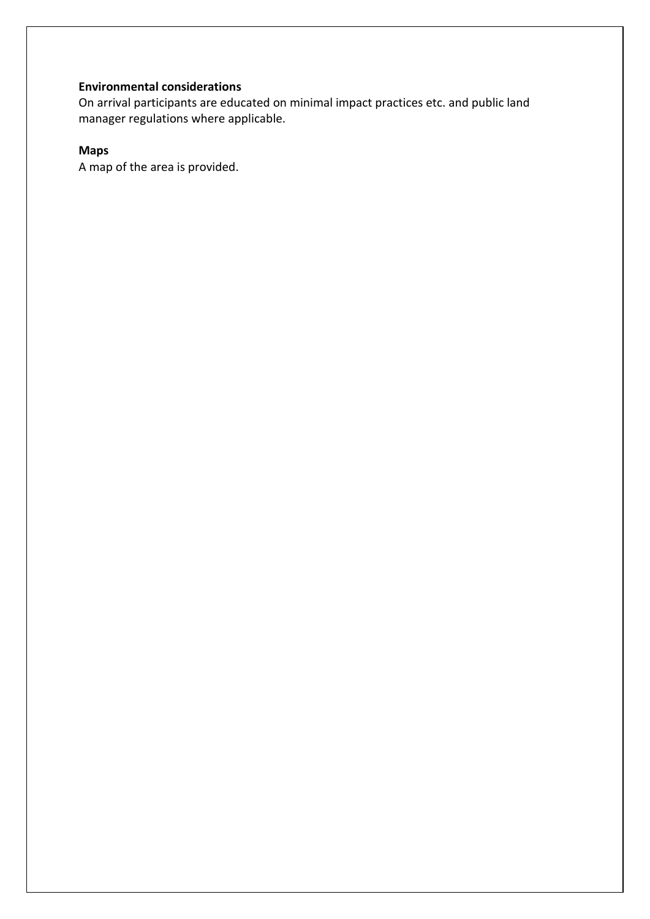# **Environmental considerations**

On arrival participants are educated on minimal impact practices etc. and public land manager regulations where applicable.

# **Maps**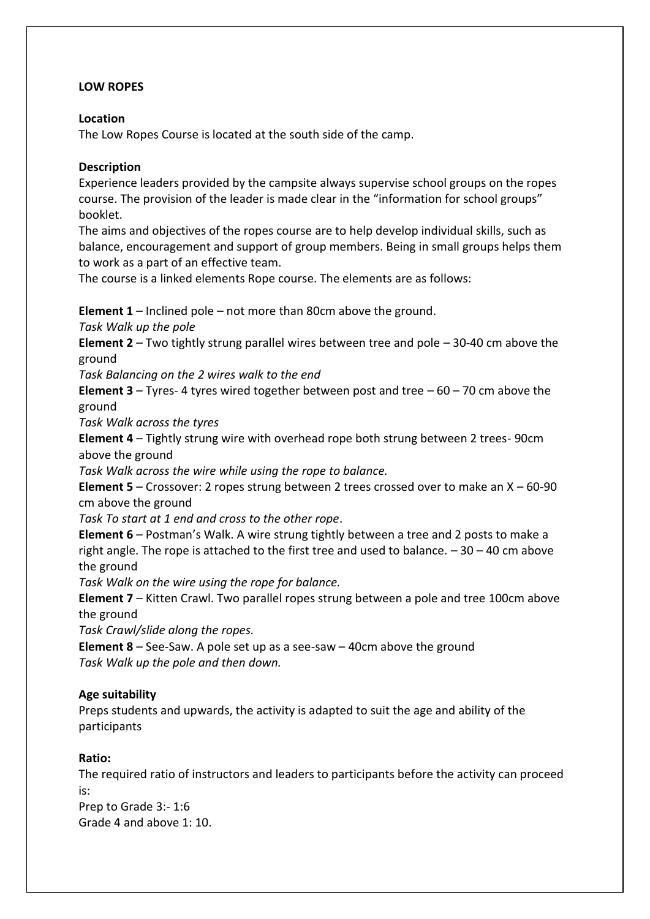# **LOW ROPES**

# **Location**

The Low Ropes Course is located at the south side of the camp.

# **Description**

Experience leaders provided by the campsite always supervise school groups on the ropes course. The provision of the leader is made clear in the "information for school groups" booklet.

The aims and objectives of the ropes course are to help develop individual skills, such as balance, encouragement and support of group members. Being in small groups helps them to work as a part of an effective team.

The course is a linked elements Rope course. The elements are as follows:

**Element 1** – Inclined pole – not more than 80cm above the ground.

*Task Walk up the pole* 

**Element 2** – Two tightly strung parallel wires between tree and pole – 30-40 cm above the ground

*Task Balancing on the 2 wires walk to the end* 

**Element 3** – Tyres- 4 tyres wired together between post and tree – 60 – 70 cm above the ground

*Task Walk across the tyres* 

**Element 4** – Tightly strung wire with overhead rope both strung between 2 trees- 90cm above the ground

*Task Walk across the wire while using the rope to balance.* 

**Element 5** – Crossover: 2 ropes strung between 2 trees crossed over to make an X – 60-90 cm above the ground

*Task To start at 1 end and cross to the other rope*.

**Element 6** – Postman's Walk. A wire strung tightly between a tree and 2 posts to make a right angle. The rope is attached to the first tree and used to balance.  $-30 - 40$  cm above the ground

*Task Walk on the wire using the rope for balance.* 

**Element 7** – Kitten Crawl. Two parallel ropes strung between a pole and tree 100cm above the ground

*Task Crawl/slide along the ropes.* 

**Element 8** – See-Saw. A pole set up as a see-saw – 40cm above the ground *Task Walk up the pole and then down.* 

# **Age suitability**

Preps students and upwards, the activity is adapted to suit the age and ability of the participants

# **Ratio:**

The required ratio of instructors and leaders to participants before the activity can proceed is:

Prep to Grade 3:- 1:6 Grade 4 and above 1: 10.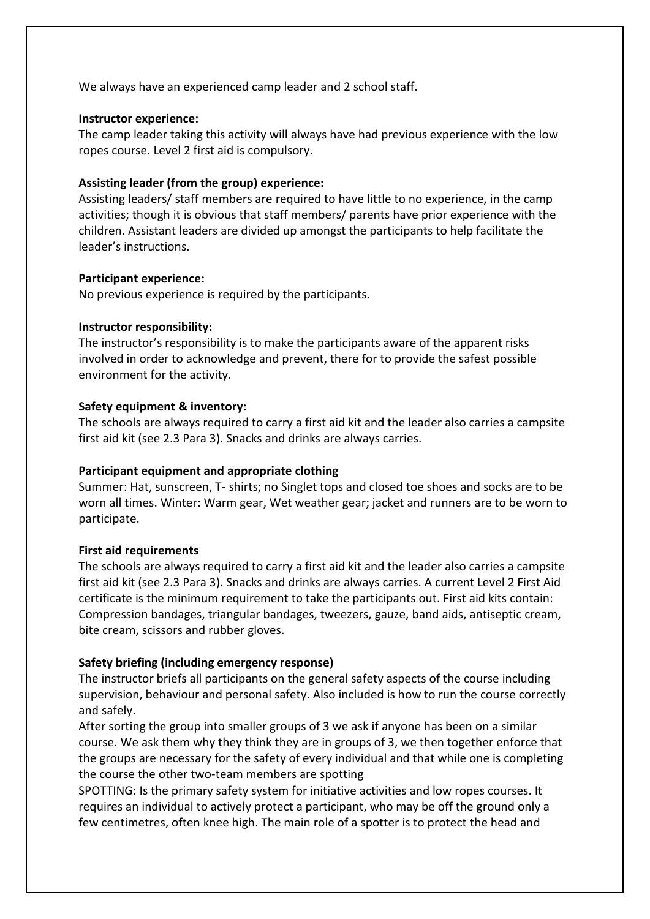We always have an experienced camp leader and 2 school staff.

## **Instructor experience:**

The camp leader taking this activity will always have had previous experience with the low ropes course. Level 2 first aid is compulsory.

# **Assisting leader (from the group) experience:**

Assisting leaders/ staff members are required to have little to no experience, in the camp activities; though it is obvious that staff members/ parents have prior experience with the children. Assistant leaders are divided up amongst the participants to help facilitate the leader's instructions.

## **Participant experience:**

No previous experience is required by the participants.

## **Instructor responsibility:**

The instructor's responsibility is to make the participants aware of the apparent risks involved in order to acknowledge and prevent, there for to provide the safest possible environment for the activity.

## **Safety equipment & inventory:**

The schools are always required to carry a first aid kit and the leader also carries a campsite first aid kit (see 2.3 Para 3). Snacks and drinks are always carries.

# **Participant equipment and appropriate clothing**

Summer: Hat, sunscreen, T- shirts; no Singlet tops and closed toe shoes and socks are to be worn all times. Winter: Warm gear, Wet weather gear; jacket and runners are to be worn to participate.

# **First aid requirements**

The schools are always required to carry a first aid kit and the leader also carries a campsite first aid kit (see 2.3 Para 3). Snacks and drinks are always carries. A current Level 2 First Aid certificate is the minimum requirement to take the participants out. First aid kits contain: Compression bandages, triangular bandages, tweezers, gauze, band aids, antiseptic cream, bite cream, scissors and rubber gloves.

# **Safety briefing (including emergency response)**

The instructor briefs all participants on the general safety aspects of the course including supervision, behaviour and personal safety. Also included is how to run the course correctly and safely.

After sorting the group into smaller groups of 3 we ask if anyone has been on a similar course. We ask them why they think they are in groups of 3, we then together enforce that the groups are necessary for the safety of every individual and that while one is completing the course the other two-team members are spotting

SPOTTING: Is the primary safety system for initiative activities and low ropes courses. It requires an individual to actively protect a participant, who may be off the ground only a few centimetres, often knee high. The main role of a spotter is to protect the head and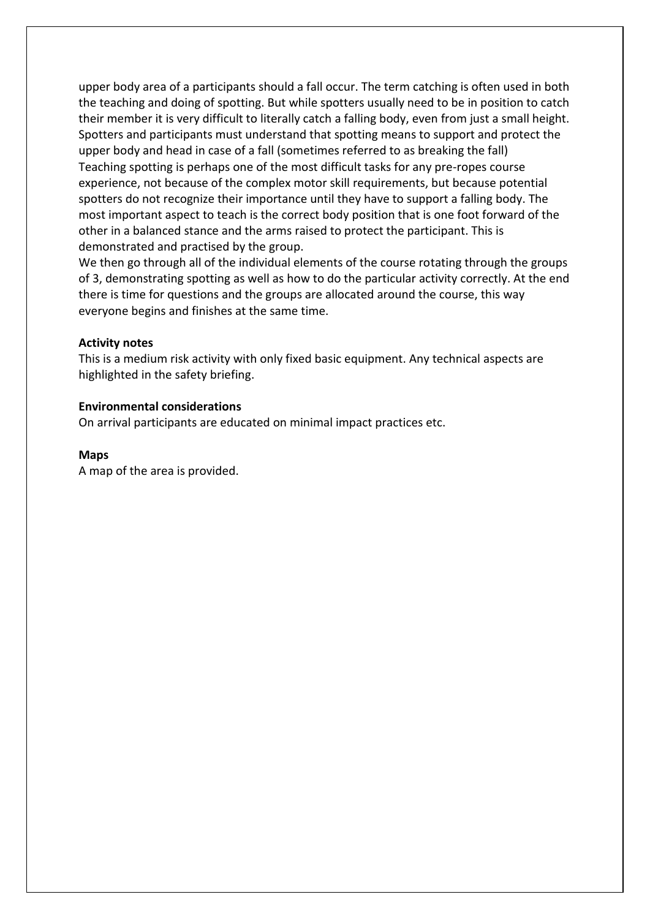upper body area of a participants should a fall occur. The term catching is often used in both the teaching and doing of spotting. But while spotters usually need to be in position to catch their member it is very difficult to literally catch a falling body, even from just a small height. Spotters and participants must understand that spotting means to support and protect the upper body and head in case of a fall (sometimes referred to as breaking the fall) Teaching spotting is perhaps one of the most difficult tasks for any pre-ropes course experience, not because of the complex motor skill requirements, but because potential spotters do not recognize their importance until they have to support a falling body. The most important aspect to teach is the correct body position that is one foot forward of the other in a balanced stance and the arms raised to protect the participant. This is demonstrated and practised by the group.

We then go through all of the individual elements of the course rotating through the groups of 3, demonstrating spotting as well as how to do the particular activity correctly. At the end there is time for questions and the groups are allocated around the course, this way everyone begins and finishes at the same time.

## **Activity notes**

This is a medium risk activity with only fixed basic equipment. Any technical aspects are highlighted in the safety briefing.

## **Environmental considerations**

On arrival participants are educated on minimal impact practices etc.

#### **Maps**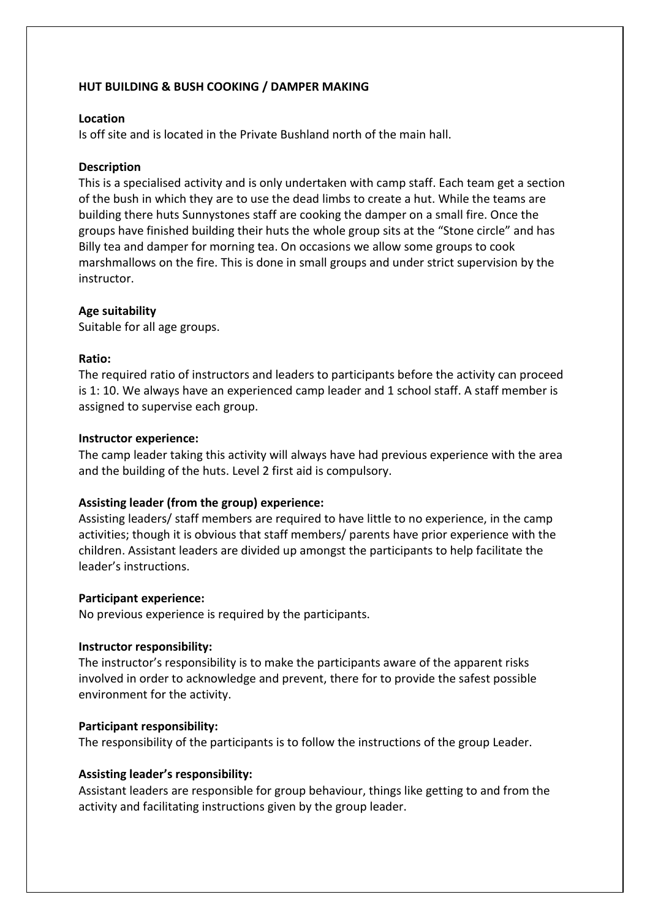# **HUT BUILDING & BUSH COOKING / DAMPER MAKING**

## **Location**

Is off site and is located in the Private Bushland north of the main hall.

## **Description**

This is a specialised activity and is only undertaken with camp staff. Each team get a section of the bush in which they are to use the dead limbs to create a hut. While the teams are building there huts Sunnystones staff are cooking the damper on a small fire. Once the groups have finished building their huts the whole group sits at the "Stone circle" and has Billy tea and damper for morning tea. On occasions we allow some groups to cook marshmallows on the fire. This is done in small groups and under strict supervision by the instructor.

## **Age suitability**

Suitable for all age groups.

## **Ratio:**

The required ratio of instructors and leaders to participants before the activity can proceed is 1: 10. We always have an experienced camp leader and 1 school staff. A staff member is assigned to supervise each group.

## **Instructor experience:**

The camp leader taking this activity will always have had previous experience with the area and the building of the huts. Level 2 first aid is compulsory.

# **Assisting leader (from the group) experience:**

Assisting leaders/ staff members are required to have little to no experience, in the camp activities; though it is obvious that staff members/ parents have prior experience with the children. Assistant leaders are divided up amongst the participants to help facilitate the leader's instructions.

## **Participant experience:**

No previous experience is required by the participants.

# **Instructor responsibility:**

The instructor's responsibility is to make the participants aware of the apparent risks involved in order to acknowledge and prevent, there for to provide the safest possible environment for the activity.

## **Participant responsibility:**

The responsibility of the participants is to follow the instructions of the group Leader.

# **Assisting leader's responsibility:**

Assistant leaders are responsible for group behaviour, things like getting to and from the activity and facilitating instructions given by the group leader.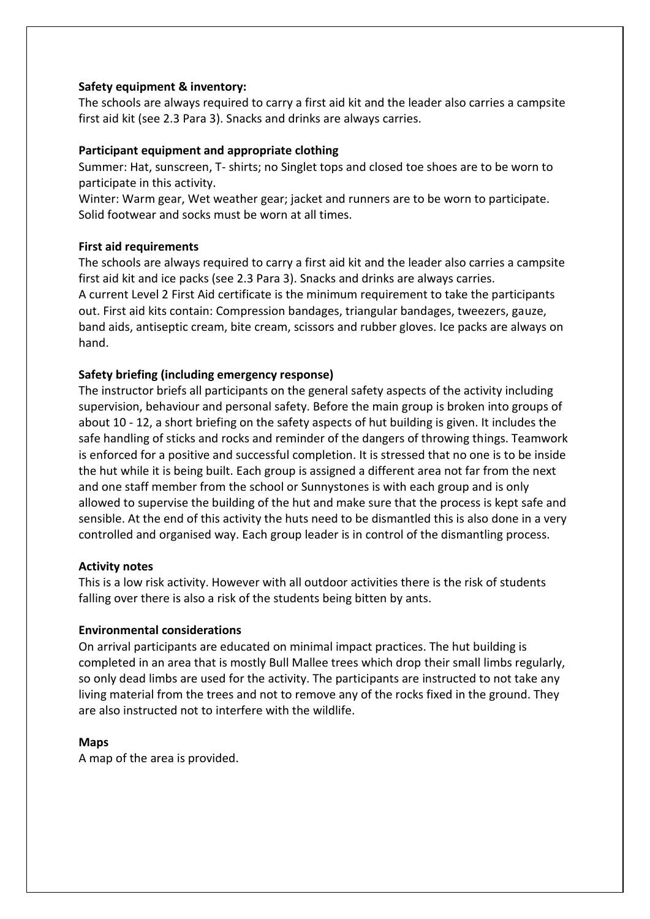# **Safety equipment & inventory:**

The schools are always required to carry a first aid kit and the leader also carries a campsite first aid kit (see 2.3 Para 3). Snacks and drinks are always carries.

# **Participant equipment and appropriate clothing**

Summer: Hat, sunscreen, T- shirts; no Singlet tops and closed toe shoes are to be worn to participate in this activity.

Winter: Warm gear, Wet weather gear; jacket and runners are to be worn to participate. Solid footwear and socks must be worn at all times.

## **First aid requirements**

The schools are always required to carry a first aid kit and the leader also carries a campsite first aid kit and ice packs (see 2.3 Para 3). Snacks and drinks are always carries. A current Level 2 First Aid certificate is the minimum requirement to take the participants out. First aid kits contain: Compression bandages, triangular bandages, tweezers, gauze, band aids, antiseptic cream, bite cream, scissors and rubber gloves. Ice packs are always on hand.

# **Safety briefing (including emergency response)**

The instructor briefs all participants on the general safety aspects of the activity including supervision, behaviour and personal safety. Before the main group is broken into groups of about 10 - 12, a short briefing on the safety aspects of hut building is given. It includes the safe handling of sticks and rocks and reminder of the dangers of throwing things. Teamwork is enforced for a positive and successful completion. It is stressed that no one is to be inside the hut while it is being built. Each group is assigned a different area not far from the next and one staff member from the school or Sunnystones is with each group and is only allowed to supervise the building of the hut and make sure that the process is kept safe and sensible. At the end of this activity the huts need to be dismantled this is also done in a very controlled and organised way. Each group leader is in control of the dismantling process.

## **Activity notes**

This is a low risk activity. However with all outdoor activities there is the risk of students falling over there is also a risk of the students being bitten by ants.

## **Environmental considerations**

On arrival participants are educated on minimal impact practices. The hut building is completed in an area that is mostly Bull Mallee trees which drop their small limbs regularly, so only dead limbs are used for the activity. The participants are instructed to not take any living material from the trees and not to remove any of the rocks fixed in the ground. They are also instructed not to interfere with the wildlife.

## **Maps**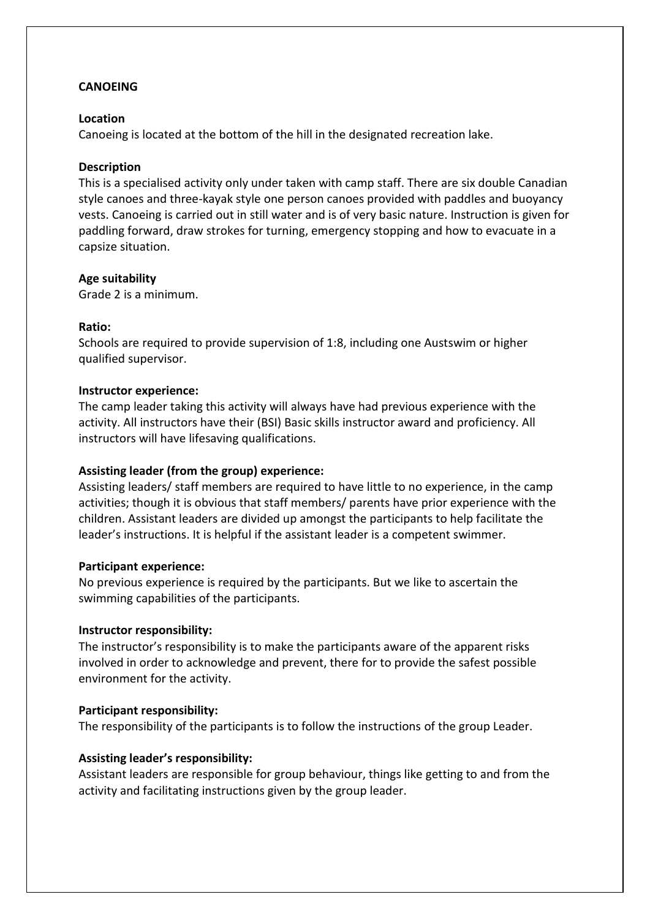# **CANOEING**

## **Location**

Canoeing is located at the bottom of the hill in the designated recreation lake.

## **Description**

This is a specialised activity only under taken with camp staff. There are six double Canadian style canoes and three-kayak style one person canoes provided with paddles and buoyancy vests. Canoeing is carried out in still water and is of very basic nature. Instruction is given for paddling forward, draw strokes for turning, emergency stopping and how to evacuate in a capsize situation.

## **Age suitability**

Grade 2 is a minimum.

## **Ratio:**

Schools are required to provide supervision of 1:8, including one Austswim or higher qualified supervisor.

## **Instructor experience:**

The camp leader taking this activity will always have had previous experience with the activity. All instructors have their (BSI) Basic skills instructor award and proficiency. All instructors will have lifesaving qualifications.

# **Assisting leader (from the group) experience:**

Assisting leaders/ staff members are required to have little to no experience, in the camp activities; though it is obvious that staff members/ parents have prior experience with the children. Assistant leaders are divided up amongst the participants to help facilitate the leader's instructions. It is helpful if the assistant leader is a competent swimmer.

## **Participant experience:**

No previous experience is required by the participants. But we like to ascertain the swimming capabilities of the participants.

# **Instructor responsibility:**

The instructor's responsibility is to make the participants aware of the apparent risks involved in order to acknowledge and prevent, there for to provide the safest possible environment for the activity.

# **Participant responsibility:**

The responsibility of the participants is to follow the instructions of the group Leader.

# **Assisting leader's responsibility:**

Assistant leaders are responsible for group behaviour, things like getting to and from the activity and facilitating instructions given by the group leader.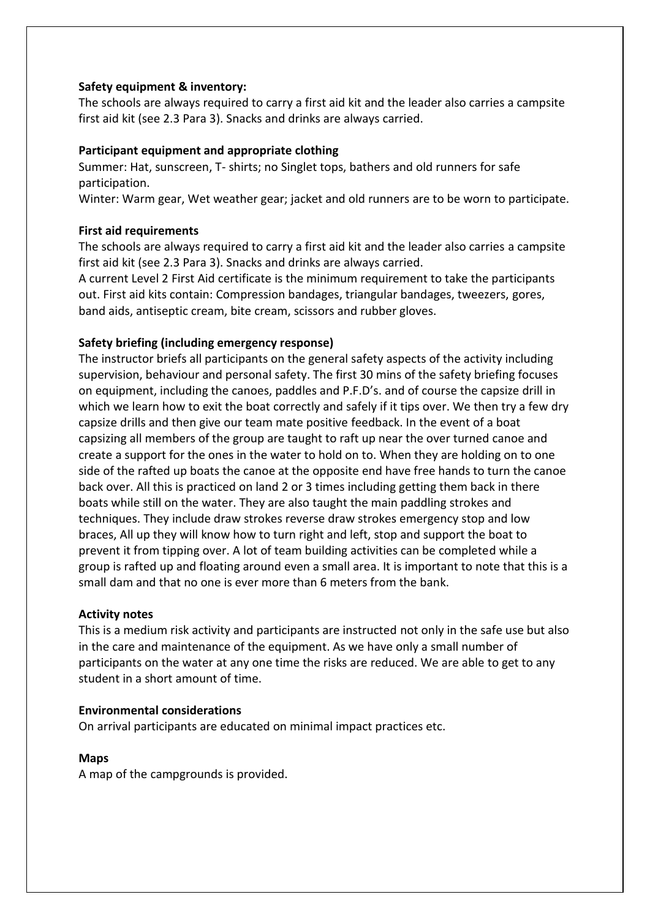# **Safety equipment & inventory:**

The schools are always required to carry a first aid kit and the leader also carries a campsite first aid kit (see 2.3 Para 3). Snacks and drinks are always carried.

## **Participant equipment and appropriate clothing**

Summer: Hat, sunscreen, T- shirts; no Singlet tops, bathers and old runners for safe participation.

Winter: Warm gear, Wet weather gear; jacket and old runners are to be worn to participate.

## **First aid requirements**

The schools are always required to carry a first aid kit and the leader also carries a campsite first aid kit (see 2.3 Para 3). Snacks and drinks are always carried.

A current Level 2 First Aid certificate is the minimum requirement to take the participants out. First aid kits contain: Compression bandages, triangular bandages, tweezers, gores, band aids, antiseptic cream, bite cream, scissors and rubber gloves.

## **Safety briefing (including emergency response)**

The instructor briefs all participants on the general safety aspects of the activity including supervision, behaviour and personal safety. The first 30 mins of the safety briefing focuses on equipment, including the canoes, paddles and P.F.D's. and of course the capsize drill in which we learn how to exit the boat correctly and safely if it tips over. We then try a few dry capsize drills and then give our team mate positive feedback. In the event of a boat capsizing all members of the group are taught to raft up near the over turned canoe and create a support for the ones in the water to hold on to. When they are holding on to one side of the rafted up boats the canoe at the opposite end have free hands to turn the canoe back over. All this is practiced on land 2 or 3 times including getting them back in there boats while still on the water. They are also taught the main paddling strokes and techniques. They include draw strokes reverse draw strokes emergency stop and low braces, All up they will know how to turn right and left, stop and support the boat to prevent it from tipping over. A lot of team building activities can be completed while a group is rafted up and floating around even a small area. It is important to note that this is a small dam and that no one is ever more than 6 meters from the bank.

## **Activity notes**

This is a medium risk activity and participants are instructed not only in the safe use but also in the care and maintenance of the equipment. As we have only a small number of participants on the water at any one time the risks are reduced. We are able to get to any student in a short amount of time.

## **Environmental considerations**

On arrival participants are educated on minimal impact practices etc.

#### **Maps**

A map of the campgrounds is provided.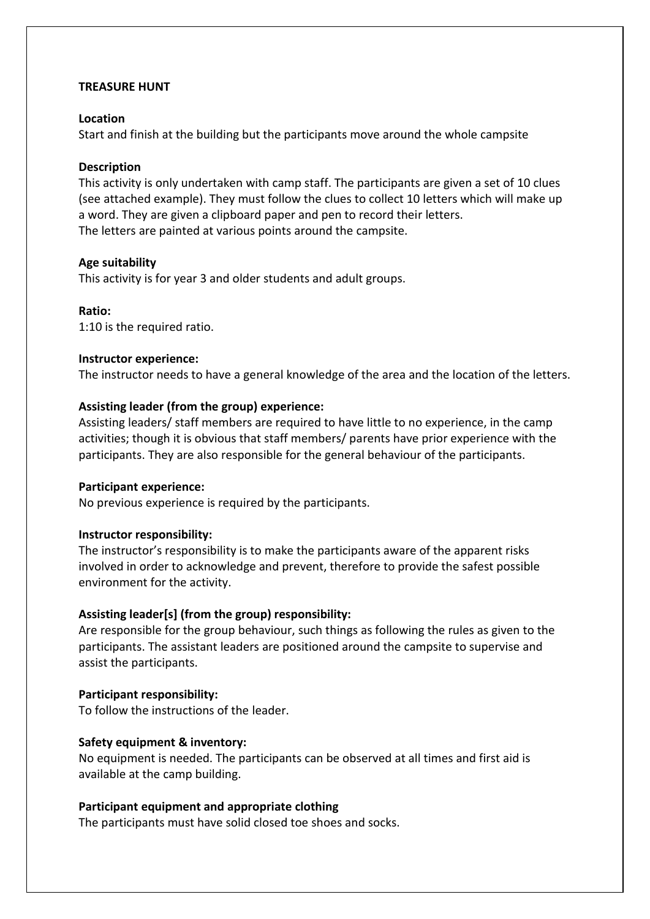## **TREASURE HUNT**

## **Location**

Start and finish at the building but the participants move around the whole campsite

## **Description**

This activity is only undertaken with camp staff. The participants are given a set of 10 clues (see attached example). They must follow the clues to collect 10 letters which will make up a word. They are given a clipboard paper and pen to record their letters. The letters are painted at various points around the campsite.

## **Age suitability**

This activity is for year 3 and older students and adult groups.

## **Ratio:**

1:10 is the required ratio.

## **Instructor experience:**

The instructor needs to have a general knowledge of the area and the location of the letters.

## **Assisting leader (from the group) experience:**

Assisting leaders/ staff members are required to have little to no experience, in the camp activities; though it is obvious that staff members/ parents have prior experience with the participants. They are also responsible for the general behaviour of the participants.

## **Participant experience:**

No previous experience is required by the participants.

# **Instructor responsibility:**

The instructor's responsibility is to make the participants aware of the apparent risks involved in order to acknowledge and prevent, therefore to provide the safest possible environment for the activity.

# **Assisting leader[s] (from the group) responsibility:**

Are responsible for the group behaviour, such things as following the rules as given to the participants. The assistant leaders are positioned around the campsite to supervise and assist the participants.

## **Participant responsibility:**

To follow the instructions of the leader.

## **Safety equipment & inventory:**

No equipment is needed. The participants can be observed at all times and first aid is available at the camp building.

## **Participant equipment and appropriate clothing**

The participants must have solid closed toe shoes and socks.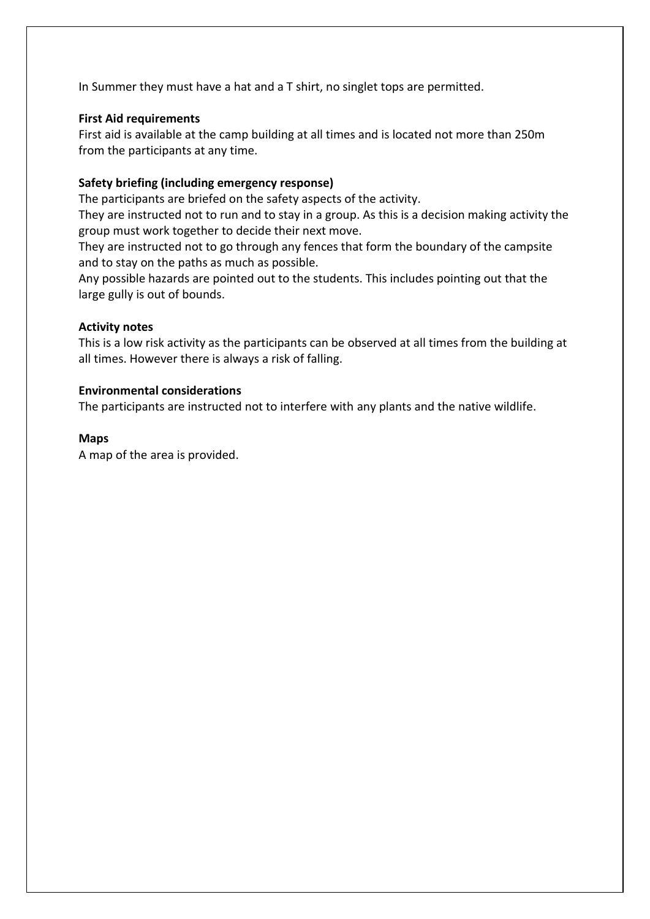In Summer they must have a hat and a T shirt, no singlet tops are permitted.

# **First Aid requirements**

First aid is available at the camp building at all times and is located not more than 250m from the participants at any time.

# **Safety briefing (including emergency response)**

The participants are briefed on the safety aspects of the activity.

They are instructed not to run and to stay in a group. As this is a decision making activity the group must work together to decide their next move.

They are instructed not to go through any fences that form the boundary of the campsite and to stay on the paths as much as possible.

Any possible hazards are pointed out to the students. This includes pointing out that the large gully is out of bounds.

# **Activity notes**

This is a low risk activity as the participants can be observed at all times from the building at all times. However there is always a risk of falling.

# **Environmental considerations**

The participants are instructed not to interfere with any plants and the native wildlife.

# **Maps**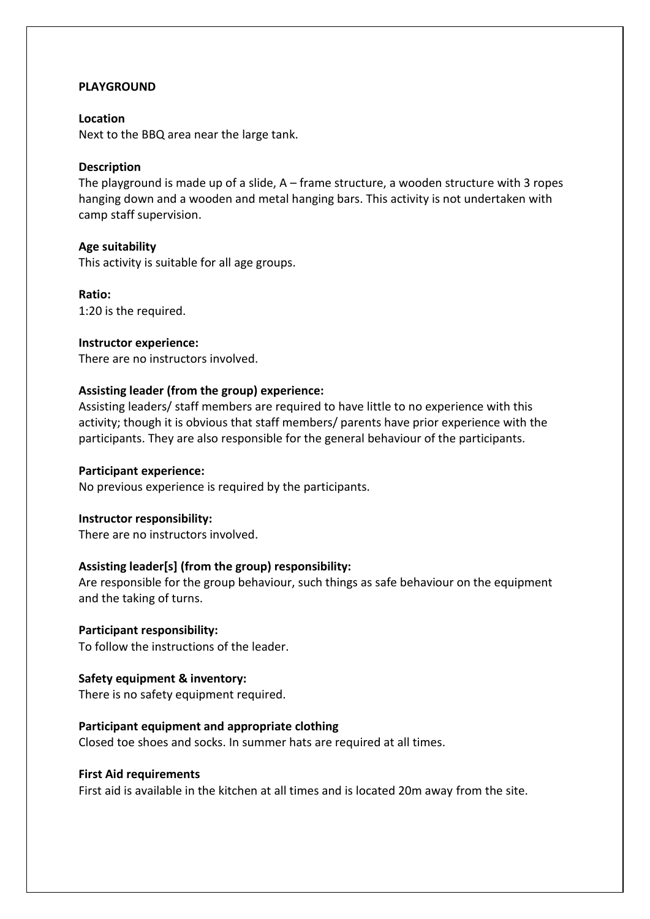# **PLAYGROUND**

## **Location**

Next to the BBQ area near the large tank.

## **Description**

The playground is made up of a slide, A – frame structure, a wooden structure with 3 ropes hanging down and a wooden and metal hanging bars. This activity is not undertaken with camp staff supervision.

#### **Age suitability**

This activity is suitable for all age groups.

**Ratio:**  1:20 is the required.

## **Instructor experience:**

There are no instructors involved.

## **Assisting leader (from the group) experience:**

Assisting leaders/ staff members are required to have little to no experience with this activity; though it is obvious that staff members/ parents have prior experience with the participants. They are also responsible for the general behaviour of the participants.

## **Participant experience:**

No previous experience is required by the participants.

## **Instructor responsibility:**

There are no instructors involved.

## **Assisting leader[s] (from the group) responsibility:**

Are responsible for the group behaviour, such things as safe behaviour on the equipment and the taking of turns.

## **Participant responsibility:**

To follow the instructions of the leader.

## **Safety equipment & inventory:**

There is no safety equipment required.

## **Participant equipment and appropriate clothing**

Closed toe shoes and socks. In summer hats are required at all times.

## **First Aid requirements**

First aid is available in the kitchen at all times and is located 20m away from the site.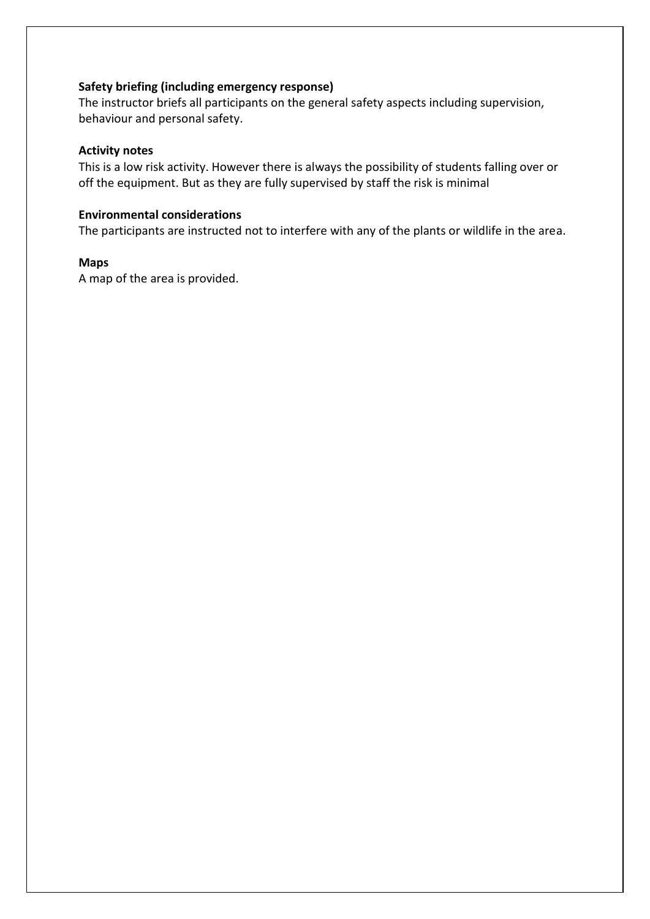## **Safety briefing (including emergency response)**

The instructor briefs all participants on the general safety aspects including supervision, behaviour and personal safety.

## **Activity notes**

This is a low risk activity. However there is always the possibility of students falling over or off the equipment. But as they are fully supervised by staff the risk is minimal

# **Environmental considerations**

The participants are instructed not to interfere with any of the plants or wildlife in the area.

## **Maps**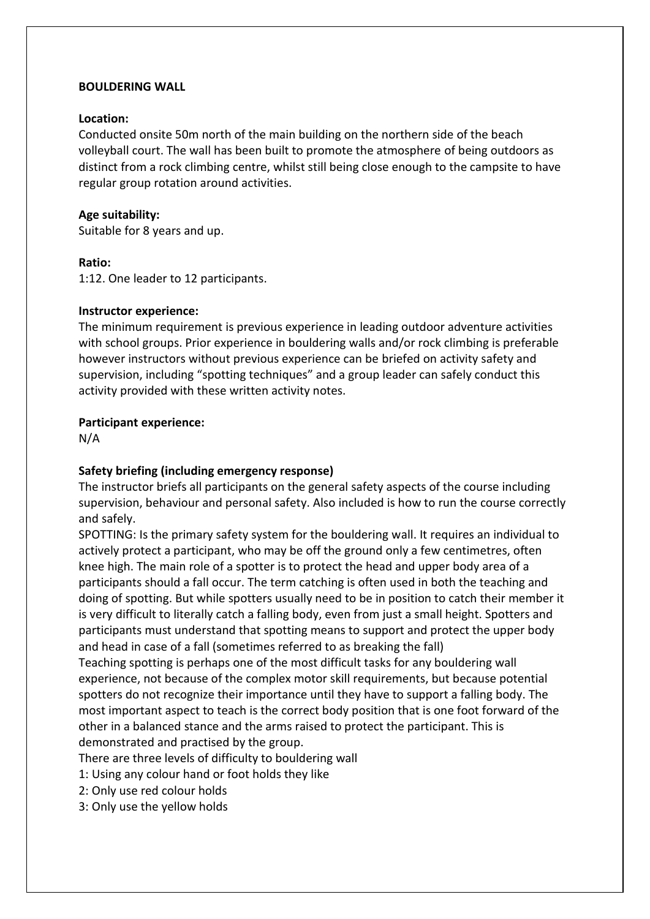## **BOULDERING WALL**

## **Location:**

Conducted onsite 50m north of the main building on the northern side of the beach volleyball court. The wall has been built to promote the atmosphere of being outdoors as distinct from a rock climbing centre, whilst still being close enough to the campsite to have regular group rotation around activities.

## **Age suitability:**

Suitable for 8 years and up.

## **Ratio:**

1:12. One leader to 12 participants.

## **Instructor experience:**

The minimum requirement is previous experience in leading outdoor adventure activities with school groups. Prior experience in bouldering walls and/or rock climbing is preferable however instructors without previous experience can be briefed on activity safety and supervision, including "spotting techniques" and a group leader can safely conduct this activity provided with these written activity notes.

# **Participant experience:**

N/A

# **Safety briefing (including emergency response)**

The instructor briefs all participants on the general safety aspects of the course including supervision, behaviour and personal safety. Also included is how to run the course correctly and safely.

SPOTTING: Is the primary safety system for the bouldering wall. It requires an individual to actively protect a participant, who may be off the ground only a few centimetres, often knee high. The main role of a spotter is to protect the head and upper body area of a participants should a fall occur. The term catching is often used in both the teaching and doing of spotting. But while spotters usually need to be in position to catch their member it is very difficult to literally catch a falling body, even from just a small height. Spotters and participants must understand that spotting means to support and protect the upper body and head in case of a fall (sometimes referred to as breaking the fall)

Teaching spotting is perhaps one of the most difficult tasks for any bouldering wall experience, not because of the complex motor skill requirements, but because potential spotters do not recognize their importance until they have to support a falling body. The most important aspect to teach is the correct body position that is one foot forward of the other in a balanced stance and the arms raised to protect the participant. This is demonstrated and practised by the group.

There are three levels of difficulty to bouldering wall

- 1: Using any colour hand or foot holds they like
- 2: Only use red colour holds
- 3: Only use the yellow holds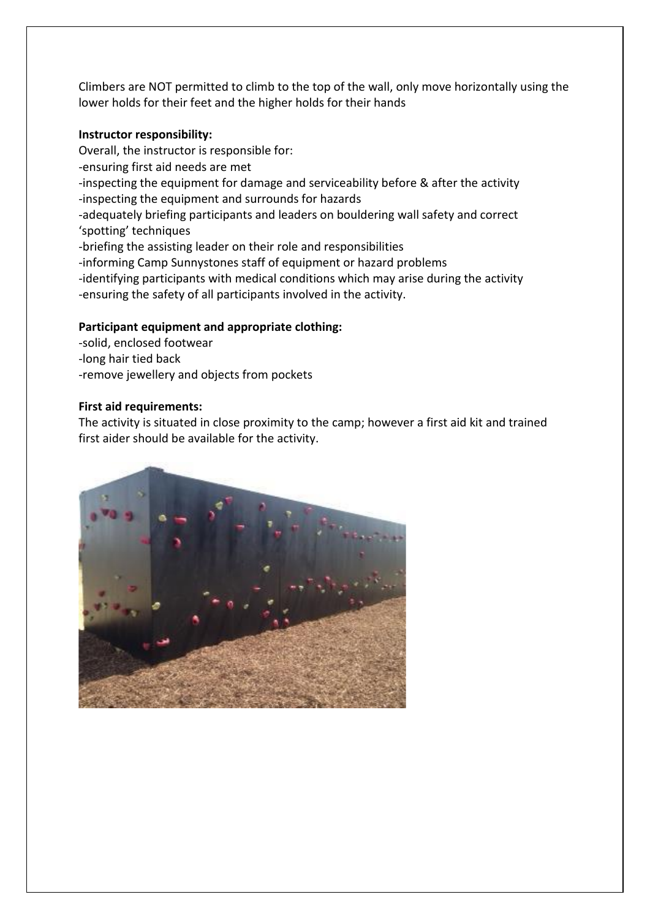Climbers are NOT permitted to climb to the top of the wall, only move horizontally using the lower holds for their feet and the higher holds for their hands

# **Instructor responsibility:**

Overall, the instructor is responsible for: -ensuring first aid needs are met -inspecting the equipment for damage and serviceability before & after the activity -inspecting the equipment and surrounds for hazards -adequately briefing participants and leaders on bouldering wall safety and correct 'spotting' techniques -briefing the assisting leader on their role and responsibilities -informing Camp Sunnystones staff of equipment or hazard problems -identifying participants with medical conditions which may arise during the activity -ensuring the safety of all participants involved in the activity.

# **Participant equipment and appropriate clothing:**

- -solid, enclosed footwear
- -long hair tied back
- -remove jewellery and objects from pockets

# **First aid requirements:**

The activity is situated in close proximity to the camp; however a first aid kit and trained first aider should be available for the activity.

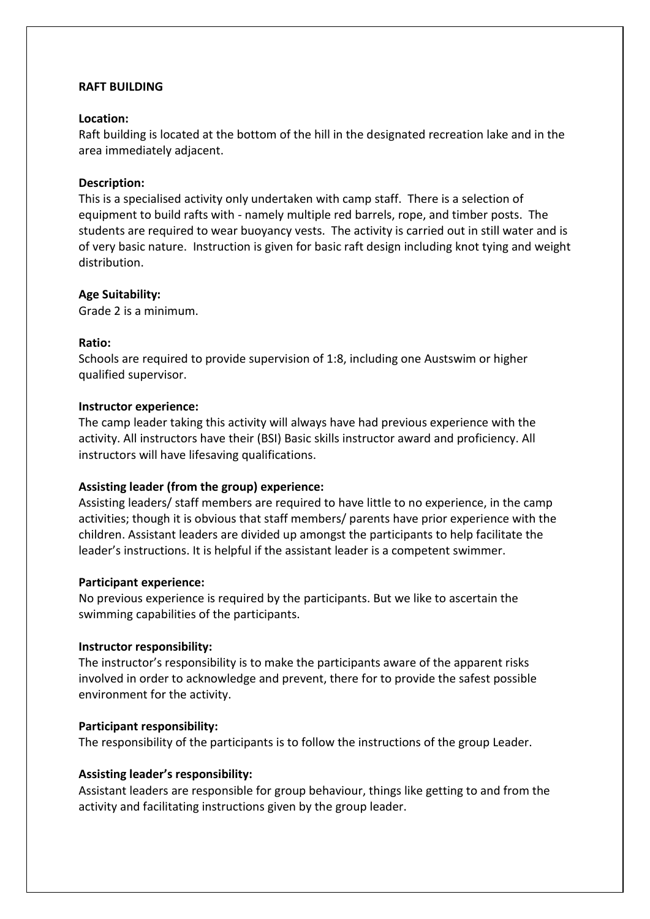# **RAFT BUILDING**

## **Location:**

Raft building is located at the bottom of the hill in the designated recreation lake and in the area immediately adjacent.

## **Description:**

This is a specialised activity only undertaken with camp staff. There is a selection of equipment to build rafts with - namely multiple red barrels, rope, and timber posts. The students are required to wear buoyancy vests. The activity is carried out in still water and is of very basic nature. Instruction is given for basic raft design including knot tying and weight distribution.

## **Age Suitability:**

Grade 2 is a minimum.

# **Ratio:**

Schools are required to provide supervision of 1:8, including one Austswim or higher qualified supervisor.

## **Instructor experience:**

The camp leader taking this activity will always have had previous experience with the activity. All instructors have their (BSI) Basic skills instructor award and proficiency. All instructors will have lifesaving qualifications.

# **Assisting leader (from the group) experience:**

Assisting leaders/ staff members are required to have little to no experience, in the camp activities; though it is obvious that staff members/ parents have prior experience with the children. Assistant leaders are divided up amongst the participants to help facilitate the leader's instructions. It is helpful if the assistant leader is a competent swimmer.

## **Participant experience:**

No previous experience is required by the participants. But we like to ascertain the swimming capabilities of the participants.

## **Instructor responsibility:**

The instructor's responsibility is to make the participants aware of the apparent risks involved in order to acknowledge and prevent, there for to provide the safest possible environment for the activity.

## **Participant responsibility:**

The responsibility of the participants is to follow the instructions of the group Leader.

# **Assisting leader's responsibility:**

Assistant leaders are responsible for group behaviour, things like getting to and from the activity and facilitating instructions given by the group leader.